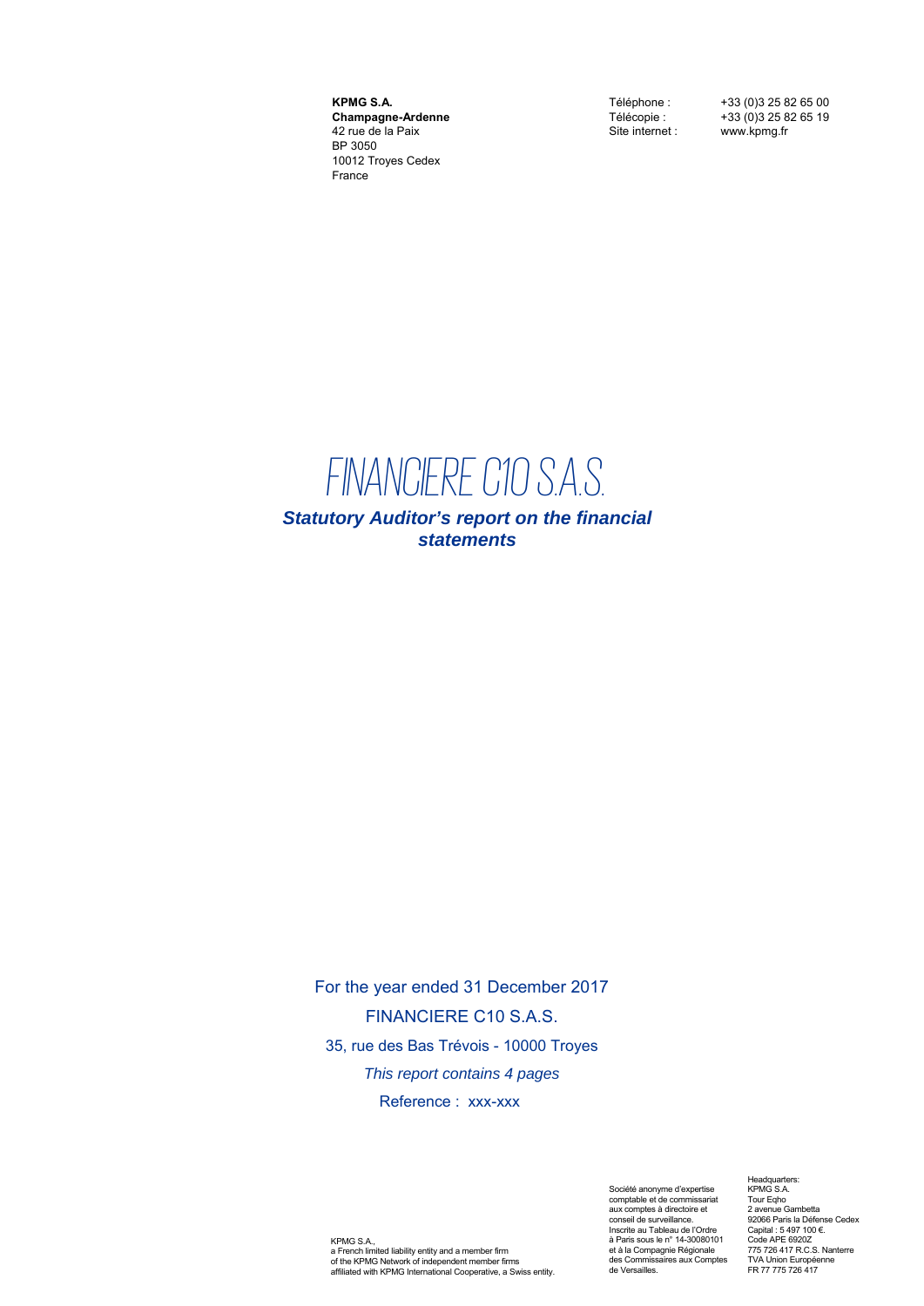**KPMG S.A. Champagne-Ardenne** 42 rue de la Paix BP 3050 10012 Troyes Cedex France

Téléphone : +33 (0)3 25 82 65 00 Télécopie :  $+33(0)325826519$ <br>Site internet : www.kpmg.fr www.kpmg.fr

## *FINANCIERE C10 S.A.S.*

*Statutory Auditor's report on the financial statements* 

For the year ended 31 December 2017 FINANCIERE C10 S.A.S. 35, rue des Bas Trévois - 10000 Troyes *This report contains 4 pages* Reference : xxx-xxx

KPMG S.A., a French limited liability entity and a member firm of the KPMG Network of independent member firms affiliated with KPMG International Cooperative, a Swiss entity.

Société anonyme d'expertise comptable et de commissariat aux comptes à directoire et conseil de surveillance. Inscrite au Tableau de l'Ordre à Paris sous le n° 14-30080101 et à la Compagnie Régionale des Commissaires aux Comptes de Versailles.

Headquarters: KPMG S.A. Tour Eqho 2 avenue Gambetta 92066 Paris la Défense Cedex Capital : 5 497 100 €. Code APE 6920Z 775 726 417 R.C.S. Nanterre TVA Union Européenne FR 77 775 726 417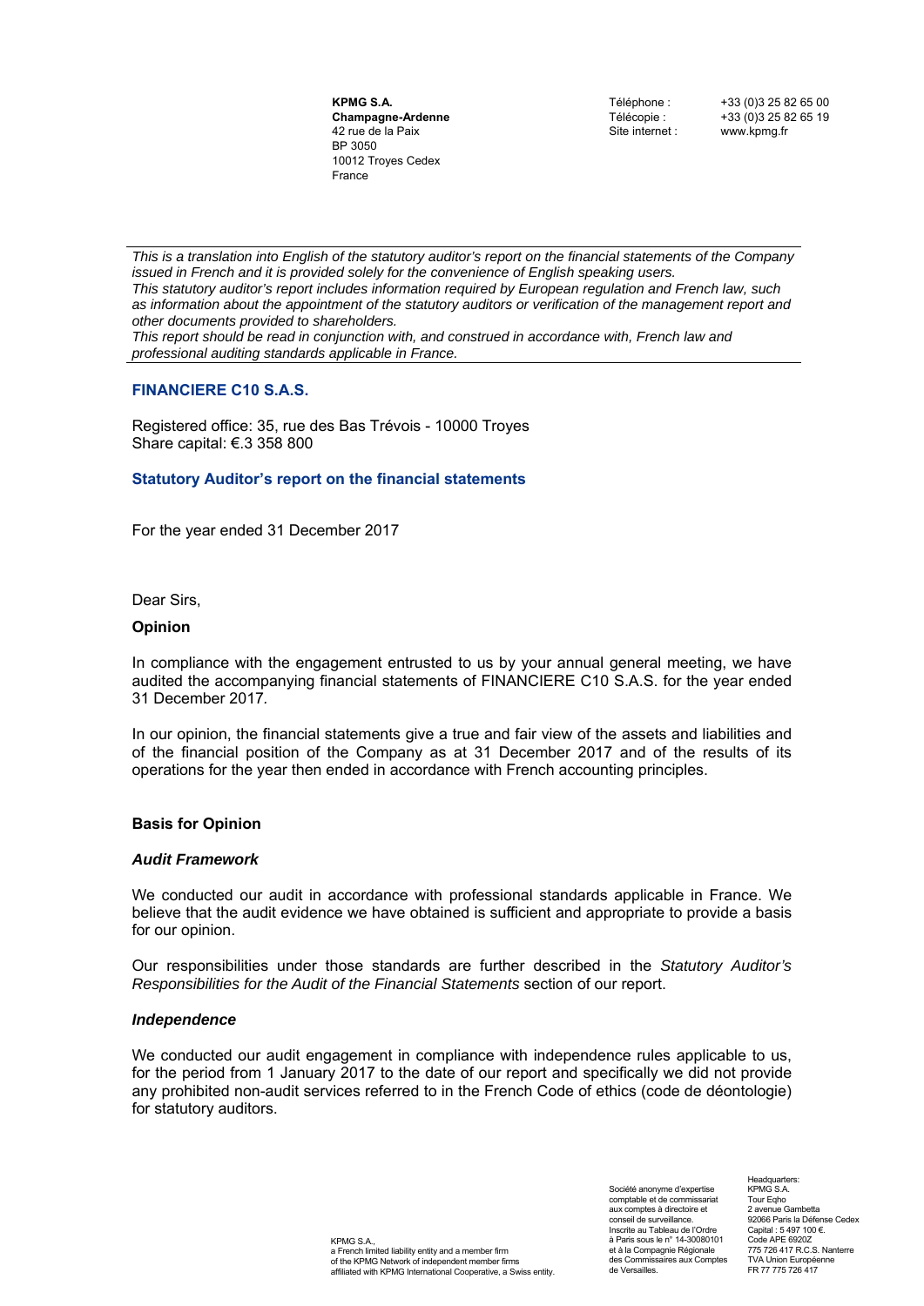**KPMG S.A. Champagne-Ardenne** 42 rue de la Paix BP 3050 10012 Troyes Cedex France

Téléphone : +33 (0)3 25 82 65 00 Télécopie : +33 (0) 3 25 82 65 19<br>Site internet : www.koma.fr www.kpmg.fr

*This is a translation into English of the statutory auditor's report on the financial statements of the Company issued in French and it is provided solely for the convenience of English speaking users. This statutory auditor's report includes information required by European regulation and French law, such as information about the appointment of the statutory auditors or verification of the management report and other documents provided to shareholders.* 

*This report should be read in conjunction with, and construed in accordance with, French law and professional auditing standards applicable in France.* 

#### **FINANCIERE C10 S.A.S.**

Registered office: 35, rue des Bas Trévois - 10000 Troyes Share capital: €.3 358 800

#### **Statutory Auditor's report on the financial statements**

For the year ended 31 December 2017

Dear Sirs,

#### **Opinion**

In compliance with the engagement entrusted to us by your annual general meeting, we have audited the accompanying financial statements of FINANCIERE C10 S.A.S. for the year ended 31 December 2017*.*

In our opinion, the financial statements give a true and fair view of the assets and liabilities and of the financial position of the Company as at 31 December 2017 and of the results of its operations for the year then ended in accordance with French accounting principles.

#### **Basis for Opinion**

#### *Audit Framework*

We conducted our audit in accordance with professional standards applicable in France. We believe that the audit evidence we have obtained is sufficient and appropriate to provide a basis for our opinion.

Our responsibilities under those standards are further described in the *Statutory Auditor's Responsibilities for the Audit of the Financial Statements* section of our report.

#### *Independence*

We conducted our audit engagement in compliance with independence rules applicable to us, for the period from 1 January 2017 to the date of our report and specifically we did not provide any prohibited non-audit services referred to in the French Code of ethics (code de déontologie) for statutory auditors.

> KPMG S.A., a French limited liability entity and a member firm of the KPMG Network of independent member firms affiliated with KPMG International Cooperative, a Swiss entity.

Société anonyme d'expertise comptable et de commissariat aux comptes à directoire et conseil de surveillance. Inscrite au Tableau de l'Ordre à Paris sous le n° 14-30080101 et à la Compagnie Régionale des Commissaires aux Comptes de Versailles.

Headquarters: KPMG S.A. Tour Eqho 2 avenue Gambetta 92066 Paris la Défense Cedex Capital : 5 497 100 €. Code APE 6920Z 775 726 417 R.C.S. Nanterre TVA Union Européenne FR 77 775 726 417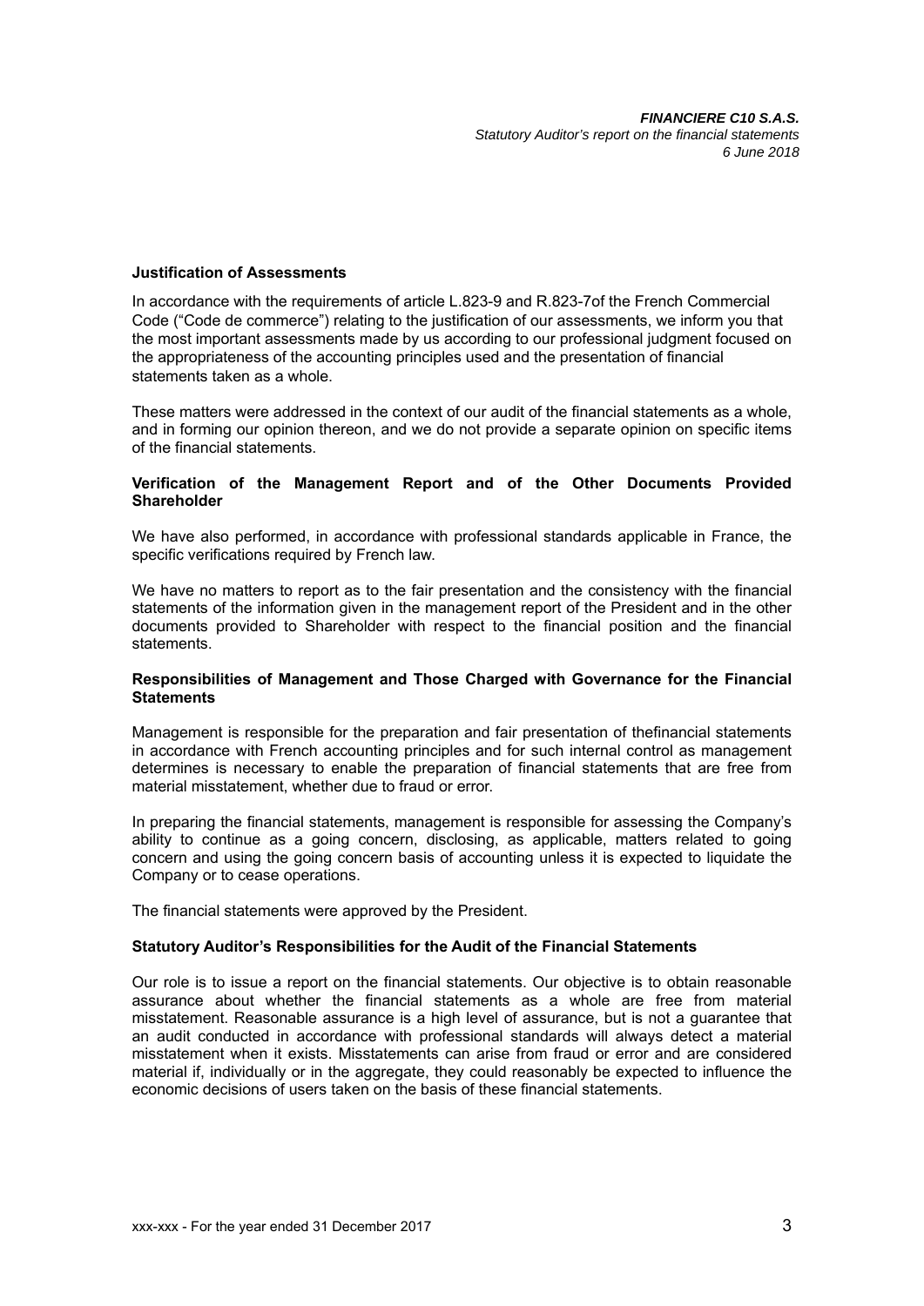#### **Justification of Assessments**

In accordance with the requirements of article L.823-9 and R.823-7of the French Commercial Code ("Code de commerce") relating to the justification of our assessments, we inform you that the most important assessments made by us according to our professional judgment focused on the appropriateness of the accounting principles used and the presentation of financial statements taken as a whole.

These matters were addressed in the context of our audit of the financial statements as a whole, and in forming our opinion thereon, and we do not provide a separate opinion on specific items of the financial statements.

#### **Verification of the Management Report and of the Other Documents Provided Shareholder**

We have also performed, in accordance with professional standards applicable in France, the specific verifications required by French law.

We have no matters to report as to the fair presentation and the consistency with the financial statements of the information given in the management report of the President and in the other documents provided to Shareholder with respect to the financial position and the financial statements.

#### **Responsibilities of Management and Those Charged with Governance for the Financial Statements**

Management is responsible for the preparation and fair presentation of thefinancial statements in accordance with French accounting principles and for such internal control as management determines is necessary to enable the preparation of financial statements that are free from material misstatement, whether due to fraud or error.

In preparing the financial statements, management is responsible for assessing the Company's ability to continue as a going concern, disclosing, as applicable, matters related to going concern and using the going concern basis of accounting unless it is expected to liquidate the Company or to cease operations.

The financial statements were approved by the President.

#### **Statutory Auditor's Responsibilities for the Audit of the Financial Statements**

Our role is to issue a report on the financial statements. Our objective is to obtain reasonable assurance about whether the financial statements as a whole are free from material misstatement. Reasonable assurance is a high level of assurance, but is not a guarantee that an audit conducted in accordance with professional standards will always detect a material misstatement when it exists. Misstatements can arise from fraud or error and are considered material if, individually or in the aggregate, they could reasonably be expected to influence the economic decisions of users taken on the basis of these financial statements.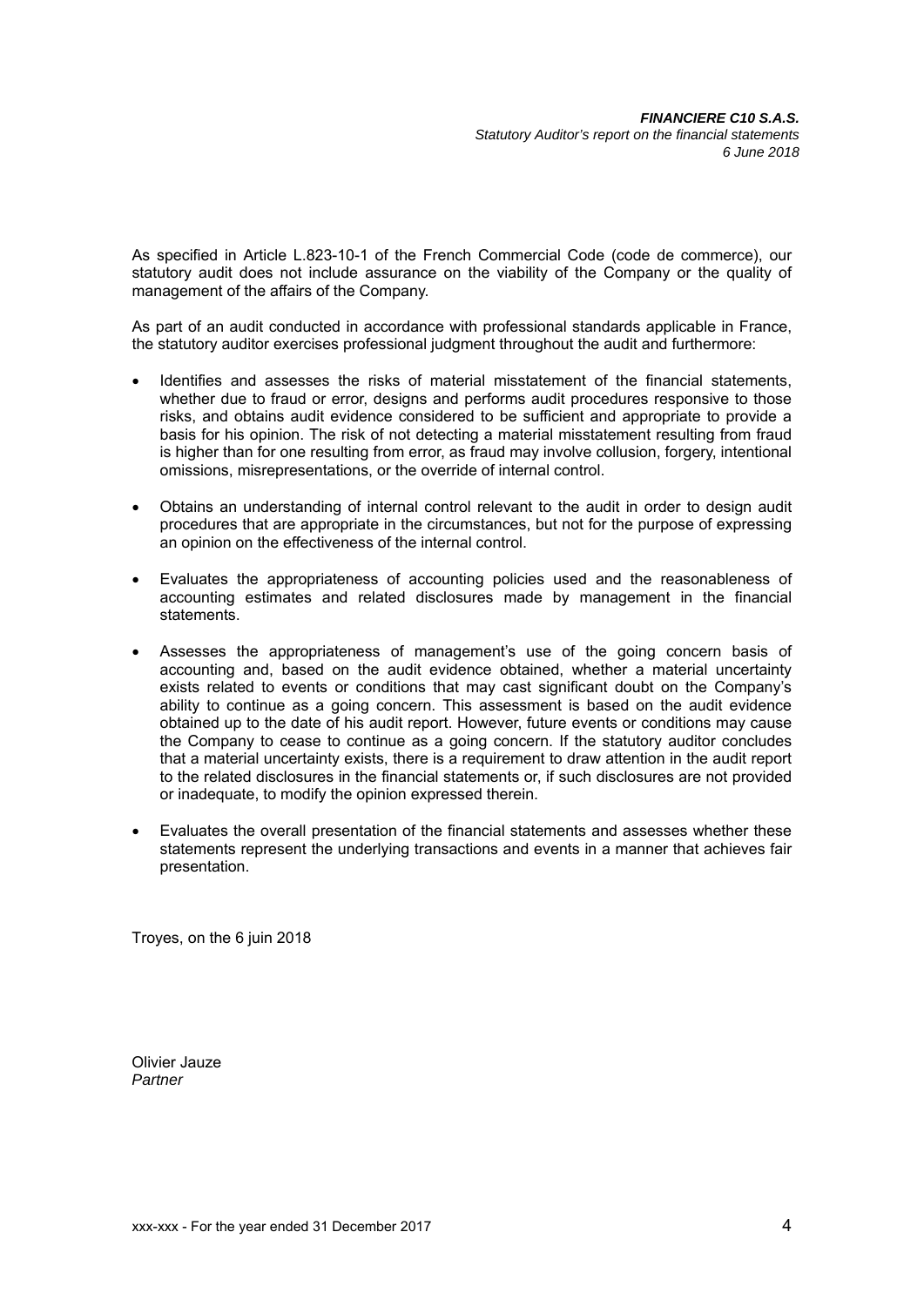As specified in Article L.823-10-1 of the French Commercial Code (code de commerce), our statutory audit does not include assurance on the viability of the Company or the quality of management of the affairs of the Company.

As part of an audit conducted in accordance with professional standards applicable in France, the statutory auditor exercises professional judgment throughout the audit and furthermore:

- Identifies and assesses the risks of material misstatement of the financial statements, whether due to fraud or error, designs and performs audit procedures responsive to those risks, and obtains audit evidence considered to be sufficient and appropriate to provide a basis for his opinion. The risk of not detecting a material misstatement resulting from fraud is higher than for one resulting from error, as fraud may involve collusion, forgery, intentional omissions, misrepresentations, or the override of internal control.
- Obtains an understanding of internal control relevant to the audit in order to design audit procedures that are appropriate in the circumstances, but not for the purpose of expressing an opinion on the effectiveness of the internal control.
- Evaluates the appropriateness of accounting policies used and the reasonableness of accounting estimates and related disclosures made by management in the financial statements.
- Assesses the appropriateness of management's use of the going concern basis of accounting and, based on the audit evidence obtained, whether a material uncertainty exists related to events or conditions that may cast significant doubt on the Company's ability to continue as a going concern. This assessment is based on the audit evidence obtained up to the date of his audit report. However, future events or conditions may cause the Company to cease to continue as a going concern. If the statutory auditor concludes that a material uncertainty exists, there is a requirement to draw attention in the audit report to the related disclosures in the financial statements or, if such disclosures are not provided or inadequate, to modify the opinion expressed therein.
- Evaluates the overall presentation of the financial statements and assesses whether these statements represent the underlying transactions and events in a manner that achieves fair presentation.

Troyes, on the 6 juin 2018

Olivier Jauze *Partner*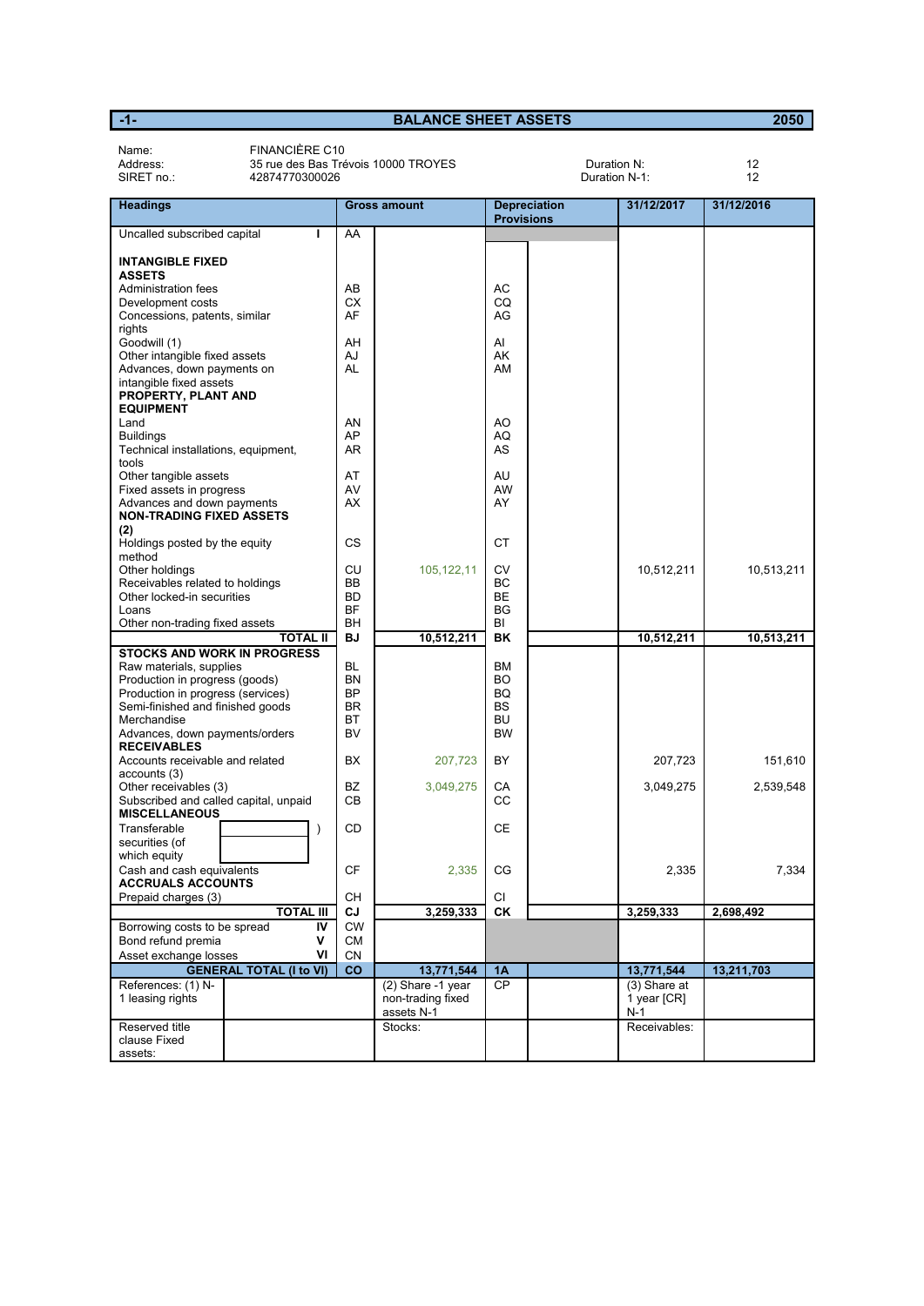| Name:<br>Address:<br>SIRET no.:                                                                                                                                                                                           | FINANCIÈRE C10<br>35 rue des Bas Trévois 10000 TROYES<br>42874770300026 |                                                                     |                                                      |                                                                     | Duration N:<br>Duration N-1: |                                    | 12<br>12   |
|---------------------------------------------------------------------------------------------------------------------------------------------------------------------------------------------------------------------------|-------------------------------------------------------------------------|---------------------------------------------------------------------|------------------------------------------------------|---------------------------------------------------------------------|------------------------------|------------------------------------|------------|
| <b>Headings</b>                                                                                                                                                                                                           |                                                                         |                                                                     | <b>Gross amount</b>                                  | <b>Provisions</b>                                                   | <b>Depreciation</b>          | 31/12/2017                         | 31/12/2016 |
| Uncalled subscribed capital                                                                                                                                                                                               |                                                                         | AA                                                                  |                                                      |                                                                     |                              |                                    |            |
| <b>INTANGIBLE FIXED</b><br><b>ASSETS</b><br>Administration fees                                                                                                                                                           |                                                                         | AB                                                                  |                                                      | АC                                                                  |                              |                                    |            |
| Development costs<br>Concessions, patents, similar<br>rights                                                                                                                                                              |                                                                         | СX<br>AF                                                            |                                                      | CQ<br>AG                                                            |                              |                                    |            |
| Goodwill (1)<br>Other intangible fixed assets<br>Advances, down payments on<br>intangible fixed assets<br>PROPERTY, PLANT AND<br><b>EQUIPMENT</b>                                                                         |                                                                         | AH<br>AJ<br>AL                                                      |                                                      | AI<br>AK<br>AM                                                      |                              |                                    |            |
| Land<br><b>Buildings</b><br>Technical installations, equipment,<br>tools                                                                                                                                                  |                                                                         | AN<br>AP<br>AR                                                      |                                                      | AO<br>AQ<br>AS                                                      |                              |                                    |            |
| Other tangible assets<br>Fixed assets in progress<br>Advances and down payments<br><b>NON-TRADING FIXED ASSETS</b><br>(2)                                                                                                 |                                                                         | AT<br>AV<br>AX                                                      |                                                      | AU<br><b>AW</b><br>AY                                               |                              |                                    |            |
| Holdings posted by the equity<br>method                                                                                                                                                                                   |                                                                         | <b>CS</b>                                                           |                                                      | <b>CT</b>                                                           |                              |                                    |            |
| Other holdings<br>Receivables related to holdings<br>Other locked-in securities<br>Loans<br>Other non-trading fixed assets                                                                                                |                                                                         | CU<br><b>BB</b><br><b>BD</b><br><b>BF</b><br>BH                     | 105, 122, 11                                         | <b>CV</b><br>BC<br><b>BE</b><br><b>BG</b><br>BI                     |                              | 10,512,211                         | 10,513,211 |
|                                                                                                                                                                                                                           | <b>TOTAL II</b>                                                         | <b>BJ</b>                                                           | 10,512,211                                           | <b>BK</b>                                                           |                              | 10,512,211                         | 10,513,211 |
| <b>STOCKS AND WORK IN PROGRESS</b><br>Raw materials, supplies<br>Production in progress (goods)<br>Production in progress (services)<br>Semi-finished and finished goods<br>Merchandise<br>Advances, down payments/orders |                                                                         | <b>BL</b><br><b>BN</b><br><b>BP</b><br><b>BR</b><br><b>BT</b><br>BV |                                                      | <b>BM</b><br><b>BO</b><br>BQ<br><b>BS</b><br><b>BU</b><br><b>BW</b> |                              |                                    |            |
| <b>RECEIVABLES</b><br>Accounts receivable and related                                                                                                                                                                     |                                                                         | BX                                                                  | 207,723                                              | BY                                                                  |                              | 207,723                            | 151.610    |
| accounts (3)<br>Other receivables (3)<br>Subscribed and called capital, unpaid<br><b>MISCELLANEOUS</b>                                                                                                                    |                                                                         | BZ<br><b>CB</b>                                                     | 3,049,275                                            | CA<br>CC                                                            |                              | 3,049,275                          | 2,539,548  |
| Transferable<br>securities (of<br>which equity                                                                                                                                                                            | $\lambda$                                                               | CD                                                                  |                                                      | CE                                                                  |                              |                                    |            |
| Cash and cash equivalents<br><b>ACCRUALS ACCOUNTS</b>                                                                                                                                                                     |                                                                         | СF                                                                  | 2,335                                                | CG                                                                  |                              | 2,335                              | 7.334      |
| Prepaid charges (3)                                                                                                                                                                                                       | <b>TOTAL III</b>                                                        | CН<br>CJ                                                            | 3,259,333                                            | СI<br>CK                                                            |                              | 3,259,333                          | 2,698,492  |
| Borrowing costs to be spread<br>Bond refund premia<br>Asset exchange losses                                                                                                                                               | IV<br>۷<br>VI                                                           | <b>CW</b><br>СM<br>CN                                               |                                                      |                                                                     |                              |                                    |            |
|                                                                                                                                                                                                                           | <b>GENERAL TOTAL (I to VI)</b>                                          | <b>CO</b>                                                           | 13,771,544                                           | 1A                                                                  |                              | 13,771,544                         | 13,211,703 |
| References: (1) N-<br>1 leasing rights                                                                                                                                                                                    |                                                                         |                                                                     | (2) Share -1 year<br>non-trading fixed<br>assets N-1 | <b>CP</b>                                                           |                              | (3) Share at<br>1 year [CR]<br>N-1 |            |
| Reserved title<br>clause Fixed<br>assets:                                                                                                                                                                                 |                                                                         |                                                                     | Stocks:                                              |                                                                     |                              | Receivables:                       |            |

**-1- BALANCE SHEET ASSETS 2050**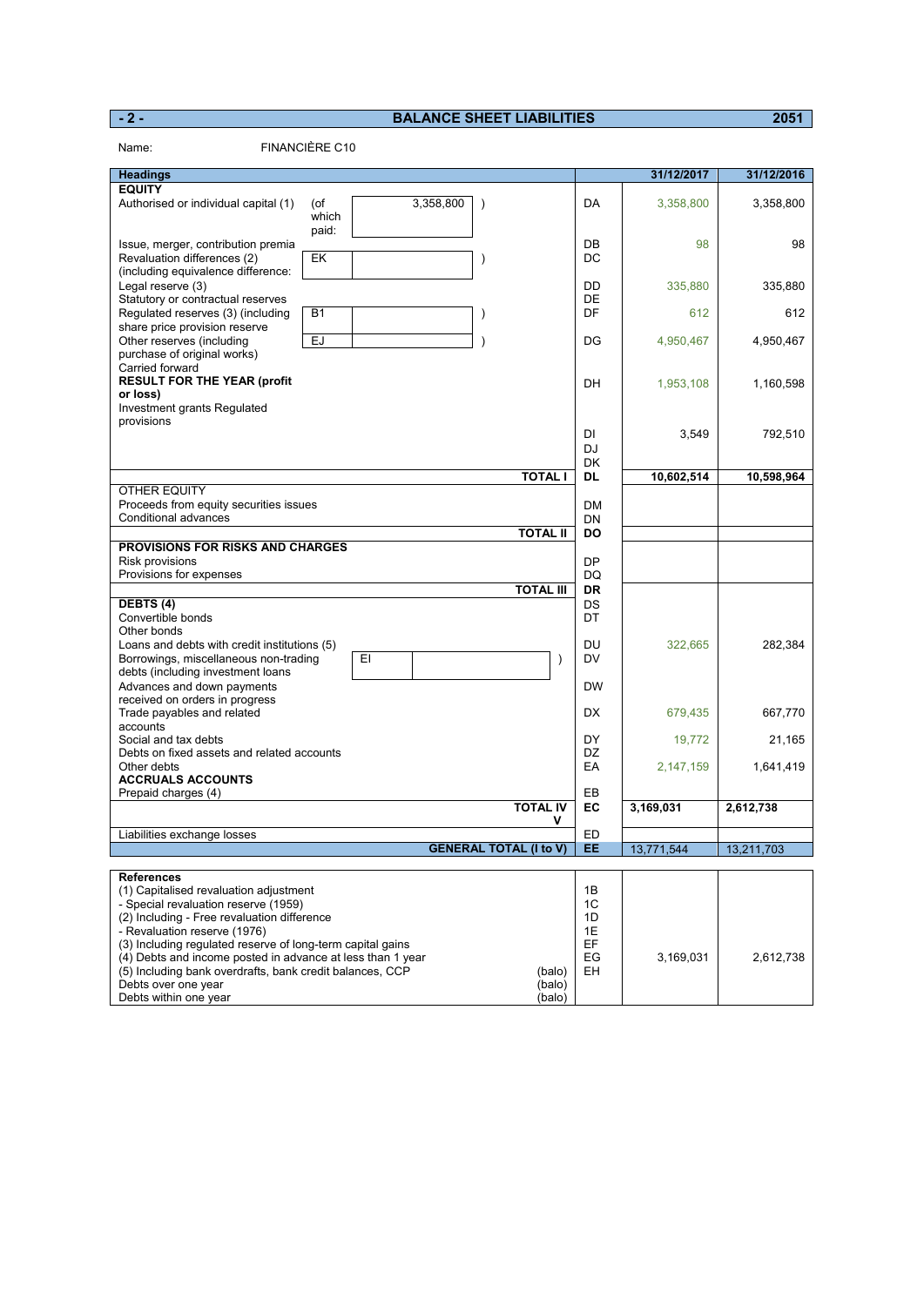#### **- 2 - BALANCE SHEET LIABILITIES 2051**

| Name:                                                                                                                                                                                                       | FINANCIÈRE C10                     |                               |                      |             |            |
|-------------------------------------------------------------------------------------------------------------------------------------------------------------------------------------------------------------|------------------------------------|-------------------------------|----------------------|-------------|------------|
| <b>Headings</b>                                                                                                                                                                                             |                                    |                               |                      | 31/12/2017  | 31/12/2016 |
| <b>EQUITY</b>                                                                                                                                                                                               |                                    |                               |                      |             |            |
| Authorised or individual capital (1)                                                                                                                                                                        | 3,358,800<br>(of<br>which<br>paid: | $\mathcal{E}$                 | DA                   | 3,358,800   | 3,358,800  |
| Issue, merger, contribution premia<br>Revaluation differences (2)<br>(including equivalence difference:                                                                                                     | EK                                 | $\mathcal{C}$                 | DB<br>DC             | 98          | 98         |
| Legal reserve (3)<br>Statutory or contractual reserves                                                                                                                                                      |                                    |                               | DD<br>DE             | 335,880     | 335,880    |
| Regulated reserves (3) (including<br>share price provision reserve                                                                                                                                          | <b>B1</b>                          | $\lambda$                     | DF                   | 612         | 612        |
| Other reserves (including<br>purchase of original works)                                                                                                                                                    | <b>EJ</b>                          | $\lambda$                     | DG                   | 4,950,467   | 4,950,467  |
| Carried forward<br><b>RESULT FOR THE YEAR (profit</b><br>or loss)                                                                                                                                           |                                    |                               | DH                   | 1,953,108   | 1,160,598  |
| Investment grants Regulated<br>provisions                                                                                                                                                                   |                                    |                               | DI<br>DJ             | 3,549       | 792,510    |
|                                                                                                                                                                                                             |                                    |                               | DK                   |             |            |
| OTHER EQUITY                                                                                                                                                                                                |                                    | <b>TOTAL I</b>                | <b>DL</b>            | 10,602,514  | 10,598,964 |
| Proceeds from equity securities issues                                                                                                                                                                      |                                    |                               | <b>DM</b>            |             |            |
| Conditional advances                                                                                                                                                                                        |                                    | <b>TOTAL II</b>               | DN<br><b>DO</b>      |             |            |
| <b>PROVISIONS FOR RISKS AND CHARGES</b>                                                                                                                                                                     |                                    |                               |                      |             |            |
| Risk provisions                                                                                                                                                                                             |                                    |                               | DP                   |             |            |
| Provisions for expenses                                                                                                                                                                                     |                                    | <b>TOTAL III</b>              | DQ<br>DR             |             |            |
| DEBTS (4)                                                                                                                                                                                                   |                                    |                               | DS                   |             |            |
| Convertible bonds                                                                                                                                                                                           |                                    |                               | DT                   |             |            |
| Other bonds<br>Loans and debts with credit institutions (5)                                                                                                                                                 |                                    |                               | DU                   | 322,665     | 282,384    |
| Borrowings, miscellaneous non-trading                                                                                                                                                                       | EI                                 | $\mathcal{E}$                 | DV                   |             |            |
| debts (including investment loans                                                                                                                                                                           |                                    |                               |                      |             |            |
| Advances and down payments<br>received on orders in progress                                                                                                                                                |                                    |                               | <b>DW</b>            |             |            |
| Trade payables and related<br>accounts                                                                                                                                                                      |                                    |                               | DX                   | 679,435     | 667,770    |
| Social and tax debts<br>Debts on fixed assets and related accounts                                                                                                                                          |                                    |                               | DY<br>DZ             | 19,772      | 21,165     |
| Other debts<br><b>ACCRUALS ACCOUNTS</b>                                                                                                                                                                     |                                    |                               | EA                   | 2, 147, 159 | 1,641,419  |
| Prepaid charges (4)                                                                                                                                                                                         |                                    |                               | EB                   |             |            |
|                                                                                                                                                                                                             |                                    | <b>TOTAL IV</b><br>٧          | EC                   | 3,169,031   | 2,612,738  |
| iabilities exchange losses                                                                                                                                                                                  |                                    | <b>GENERAL TOTAL (I to V)</b> | ED<br>EE             | 13,771,544  | 13,211,703 |
|                                                                                                                                                                                                             |                                    |                               |                      |             |            |
| <b>References</b><br>(1) Capitalised revaluation adjustment<br>- Special revaluation reserve (1959)<br>(2) Including - Free revaluation difference<br>- Revaluation reserve (1976)                          |                                    |                               | 1B<br>1C<br>1D<br>1E |             |            |
| (3) Including regulated reserve of long-term capital gains<br>(4) Debts and income posted in advance at less than 1 year<br>(5) Including bank overdrafts, bank credit balances, CCP<br>Debts over one year |                                    | (balo)<br>(balo)              | EF<br>EG<br>EН       | 3,169,031   | 2,612,738  |
| Debts within one year                                                                                                                                                                                       |                                    | (balo)                        |                      |             |            |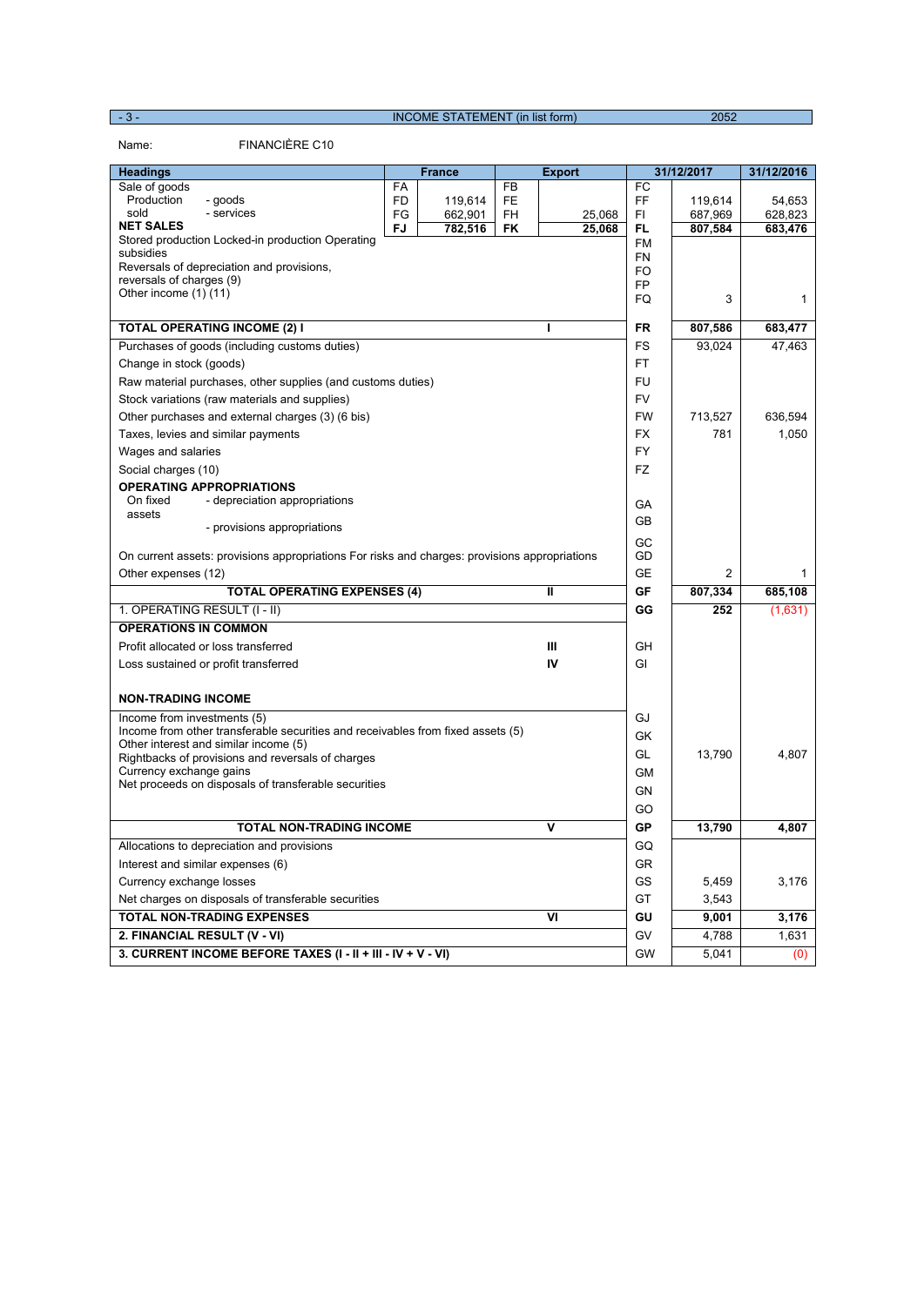- 3 - INCOME STATEMENT (in list form) 2052

Name: FINANCIÈRE C10

| <b>Headings</b>                                                                               |    | <b>France</b> |    | <b>Export</b> |           | 31/12/2017 | 31/12/2016   |
|-----------------------------------------------------------------------------------------------|----|---------------|----|---------------|-----------|------------|--------------|
| Sale of goods                                                                                 | FA |               | FB |               | FC        |            |              |
| Production<br>- goods                                                                         | FD | 119,614       | FE |               | FF        | 119,614    | 54,653       |
| sold<br>- services<br><b>NET SALES</b>                                                        | FG | 662,901       | FH | 25,068        | FI        | 687,969    | 628,823      |
| Stored production Locked-in production Operating                                              | FJ | 782,516       | FK | 25,068        | FL<br>FM  | 807,584    | 683,476      |
| subsidies                                                                                     |    |               |    |               | <b>FN</b> |            |              |
| Reversals of depreciation and provisions,                                                     |    |               |    |               | FO        |            |              |
| reversals of charges (9)<br>Other income (1) (11)                                             |    |               |    |               | <b>FP</b> |            |              |
|                                                                                               |    |               |    |               | FQ        | 3          | $\mathbf{1}$ |
| <b>TOTAL OPERATING INCOME (2) I</b>                                                           |    |               |    | ı             | <b>FR</b> | 807,586    | 683,477      |
| Purchases of goods (including customs duties)                                                 |    |               |    |               | FS        | 93,024     | 47,463       |
| Change in stock (goods)                                                                       |    |               |    |               | FT        |            |              |
| Raw material purchases, other supplies (and customs duties)                                   |    |               |    |               | FU        |            |              |
| Stock variations (raw materials and supplies)                                                 |    |               |    |               | <b>FV</b> |            |              |
| Other purchases and external charges (3) (6 bis)                                              |    |               |    |               | <b>FW</b> | 713,527    | 636,594      |
| Taxes, levies and similar payments                                                            |    |               |    |               | <b>FX</b> | 781        | 1,050        |
| Wages and salaries                                                                            |    |               |    |               | <b>FY</b> |            |              |
| Social charges (10)                                                                           |    |               |    |               | <b>FZ</b> |            |              |
| <b>OPERATING APPROPRIATIONS</b>                                                               |    |               |    |               |           |            |              |
| On fixed<br>- depreciation appropriations                                                     |    |               |    |               | GА        |            |              |
| assets<br>- provisions appropriations                                                         |    |               |    |               | <b>GB</b> |            |              |
|                                                                                               |    |               |    |               | GC        |            |              |
| On current assets: provisions appropriations For risks and charges: provisions appropriations |    |               |    |               | GD        |            |              |
| Other expenses (12)                                                                           |    |               |    |               | <b>GE</b> | 2          | 1            |
| <b>TOTAL OPERATING EXPENSES (4)</b>                                                           |    |               |    | $\mathbf{I}$  | GF        | 807,334    | 685,108      |
| 1. OPERATING RESULT (I - II)                                                                  |    |               |    |               | GG        | 252        | (1,631)      |
| <b>OPERATIONS IN COMMON</b>                                                                   |    |               |    |               |           |            |              |
| Profit allocated or loss transferred                                                          |    |               |    | Ш             | GH        |            |              |
| Loss sustained or profit transferred                                                          |    |               |    | IV            | GI        |            |              |
| <b>NON-TRADING INCOME</b>                                                                     |    |               |    |               |           |            |              |
| Income from investments (5)                                                                   |    |               |    |               | GJ        |            |              |
| Income from other transferable securities and receivables from fixed assets (5)               |    |               |    |               | GK        |            |              |
| Other interest and similar income (5)                                                         |    |               |    |               |           |            |              |
| Rightbacks of provisions and reversals of charges                                             |    |               |    |               | GL        | 13,790     | 4,807        |
| Currency exchange gains<br>Net proceeds on disposals of transferable securities               |    |               |    |               | <b>GM</b> |            |              |
|                                                                                               |    |               |    |               | GN        |            |              |
|                                                                                               |    |               |    |               | GO        |            |              |
| <b>TOTAL NON-TRADING INCOME</b>                                                               |    |               |    | ۷             | GP        | 13,790     | 4,807        |
| Allocations to depreciation and provisions                                                    |    |               |    |               | GQ        |            |              |
| Interest and similar expenses (6)                                                             |    |               |    |               | <b>GR</b> |            |              |
| Currency exchange losses                                                                      |    |               |    |               | GS        | 5,459      | 3,176        |
| Net charges on disposals of transferable securities                                           |    |               |    |               | GT        | 3,543      |              |
| <b>TOTAL NON-TRADING EXPENSES</b>                                                             |    |               |    | VI            | GU        | 9,001      | 3,176        |
| 2. FINANCIAL RESULT (V - VI)                                                                  |    |               |    |               | GV        | 4,788      | 1,631        |
| 3. CURRENT INCOME BEFORE TAXES (I - II + III - IV + V - VI)                                   |    |               |    |               | GW        | 5,041      | (0)          |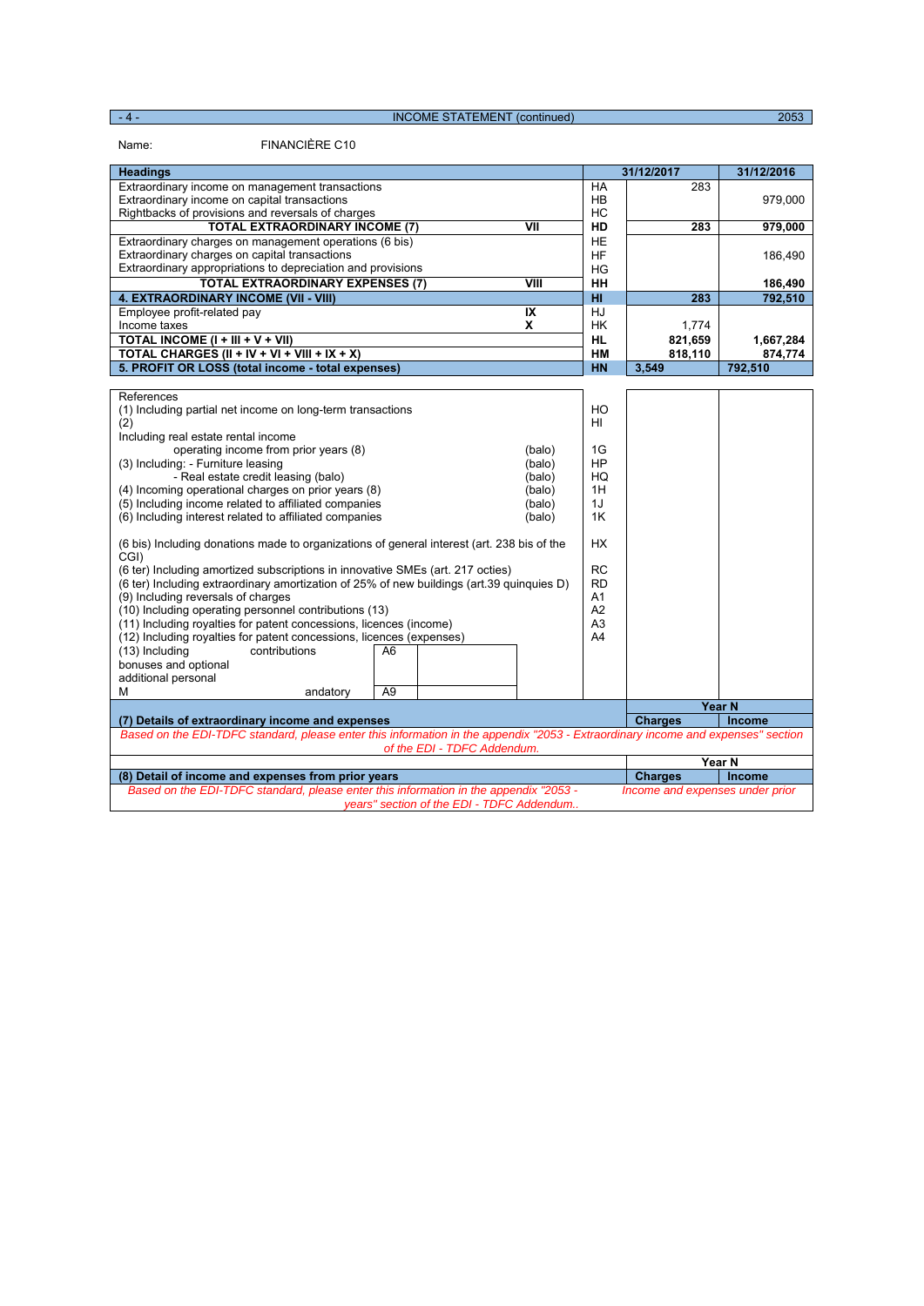- 4 - INCOME STATEMENT (continued)

Name: FINANCIÈRE C10

| 31/12/2017<br>31/12/2016<br><b>Headings</b><br>Extraordinary income on management transactions<br><b>HA</b><br>283<br>Extraordinary income on capital transactions<br>HB<br>979,000<br>HC<br>Rightbacks of provisions and reversals of charges<br>$\overline{v}$<br><b>TOTAL EXTRAORDINARY INCOME (7)</b><br>283<br>HD<br>979,000<br><b>HE</b><br>Extraordinary charges on management operations (6 bis)<br>Extraordinary charges on capital transactions<br>HF<br>186,490<br>Extraordinary appropriations to depreciation and provisions<br>HG<br>VIII<br>HH<br><b>TOTAL EXTRAORDINARY EXPENSES (7)</b><br>186,490<br>4. EXTRAORDINARY INCOME (VII - VIII)<br>HI.<br>283<br>792,510<br>IX<br>HJ<br>Employee profit-related pay<br>Income taxes<br>X<br><b>HK</b><br>1,774<br>TOTAL INCOME (I + III + V + VII)<br><b>HL</b><br>821,659<br>1,667,284<br>TOTAL CHARGES (II + IV + VI + VIII + IX + X)<br><b>HM</b><br>818,110<br>874,774<br>5. PROFIT OR LOSS (total income - total expenses)<br><b>HN</b><br>3,549<br>792,510<br>References<br>(1) Including partial net income on long-term transactions<br>HO<br>(2)<br>HI<br>Including real estate rental income<br>operating income from prior years (8)<br>1G<br>(balo)<br>HP<br>(3) Including: - Furniture leasing<br>(balo)<br>- Real estate credit leasing (balo)<br>HQ<br>(balo)<br>(4) Incoming operational charges on prior years (8)<br>1H<br>(balo)<br>(5) Including income related to affiliated companies<br>1J<br>(balo)<br>1K<br>(6) Including interest related to affiliated companies<br>(balo) |
|-------------------------------------------------------------------------------------------------------------------------------------------------------------------------------------------------------------------------------------------------------------------------------------------------------------------------------------------------------------------------------------------------------------------------------------------------------------------------------------------------------------------------------------------------------------------------------------------------------------------------------------------------------------------------------------------------------------------------------------------------------------------------------------------------------------------------------------------------------------------------------------------------------------------------------------------------------------------------------------------------------------------------------------------------------------------------------------------------------------------------------------------------------------------------------------------------------------------------------------------------------------------------------------------------------------------------------------------------------------------------------------------------------------------------------------------------------------------------------------------------------------------------------------------------------------------|
|                                                                                                                                                                                                                                                                                                                                                                                                                                                                                                                                                                                                                                                                                                                                                                                                                                                                                                                                                                                                                                                                                                                                                                                                                                                                                                                                                                                                                                                                                                                                                                   |
|                                                                                                                                                                                                                                                                                                                                                                                                                                                                                                                                                                                                                                                                                                                                                                                                                                                                                                                                                                                                                                                                                                                                                                                                                                                                                                                                                                                                                                                                                                                                                                   |
|                                                                                                                                                                                                                                                                                                                                                                                                                                                                                                                                                                                                                                                                                                                                                                                                                                                                                                                                                                                                                                                                                                                                                                                                                                                                                                                                                                                                                                                                                                                                                                   |
|                                                                                                                                                                                                                                                                                                                                                                                                                                                                                                                                                                                                                                                                                                                                                                                                                                                                                                                                                                                                                                                                                                                                                                                                                                                                                                                                                                                                                                                                                                                                                                   |
|                                                                                                                                                                                                                                                                                                                                                                                                                                                                                                                                                                                                                                                                                                                                                                                                                                                                                                                                                                                                                                                                                                                                                                                                                                                                                                                                                                                                                                                                                                                                                                   |
|                                                                                                                                                                                                                                                                                                                                                                                                                                                                                                                                                                                                                                                                                                                                                                                                                                                                                                                                                                                                                                                                                                                                                                                                                                                                                                                                                                                                                                                                                                                                                                   |
|                                                                                                                                                                                                                                                                                                                                                                                                                                                                                                                                                                                                                                                                                                                                                                                                                                                                                                                                                                                                                                                                                                                                                                                                                                                                                                                                                                                                                                                                                                                                                                   |
|                                                                                                                                                                                                                                                                                                                                                                                                                                                                                                                                                                                                                                                                                                                                                                                                                                                                                                                                                                                                                                                                                                                                                                                                                                                                                                                                                                                                                                                                                                                                                                   |
|                                                                                                                                                                                                                                                                                                                                                                                                                                                                                                                                                                                                                                                                                                                                                                                                                                                                                                                                                                                                                                                                                                                                                                                                                                                                                                                                                                                                                                                                                                                                                                   |
|                                                                                                                                                                                                                                                                                                                                                                                                                                                                                                                                                                                                                                                                                                                                                                                                                                                                                                                                                                                                                                                                                                                                                                                                                                                                                                                                                                                                                                                                                                                                                                   |
|                                                                                                                                                                                                                                                                                                                                                                                                                                                                                                                                                                                                                                                                                                                                                                                                                                                                                                                                                                                                                                                                                                                                                                                                                                                                                                                                                                                                                                                                                                                                                                   |
|                                                                                                                                                                                                                                                                                                                                                                                                                                                                                                                                                                                                                                                                                                                                                                                                                                                                                                                                                                                                                                                                                                                                                                                                                                                                                                                                                                                                                                                                                                                                                                   |
|                                                                                                                                                                                                                                                                                                                                                                                                                                                                                                                                                                                                                                                                                                                                                                                                                                                                                                                                                                                                                                                                                                                                                                                                                                                                                                                                                                                                                                                                                                                                                                   |
|                                                                                                                                                                                                                                                                                                                                                                                                                                                                                                                                                                                                                                                                                                                                                                                                                                                                                                                                                                                                                                                                                                                                                                                                                                                                                                                                                                                                                                                                                                                                                                   |
|                                                                                                                                                                                                                                                                                                                                                                                                                                                                                                                                                                                                                                                                                                                                                                                                                                                                                                                                                                                                                                                                                                                                                                                                                                                                                                                                                                                                                                                                                                                                                                   |
|                                                                                                                                                                                                                                                                                                                                                                                                                                                                                                                                                                                                                                                                                                                                                                                                                                                                                                                                                                                                                                                                                                                                                                                                                                                                                                                                                                                                                                                                                                                                                                   |
|                                                                                                                                                                                                                                                                                                                                                                                                                                                                                                                                                                                                                                                                                                                                                                                                                                                                                                                                                                                                                                                                                                                                                                                                                                                                                                                                                                                                                                                                                                                                                                   |
|                                                                                                                                                                                                                                                                                                                                                                                                                                                                                                                                                                                                                                                                                                                                                                                                                                                                                                                                                                                                                                                                                                                                                                                                                                                                                                                                                                                                                                                                                                                                                                   |
|                                                                                                                                                                                                                                                                                                                                                                                                                                                                                                                                                                                                                                                                                                                                                                                                                                                                                                                                                                                                                                                                                                                                                                                                                                                                                                                                                                                                                                                                                                                                                                   |
|                                                                                                                                                                                                                                                                                                                                                                                                                                                                                                                                                                                                                                                                                                                                                                                                                                                                                                                                                                                                                                                                                                                                                                                                                                                                                                                                                                                                                                                                                                                                                                   |
|                                                                                                                                                                                                                                                                                                                                                                                                                                                                                                                                                                                                                                                                                                                                                                                                                                                                                                                                                                                                                                                                                                                                                                                                                                                                                                                                                                                                                                                                                                                                                                   |
|                                                                                                                                                                                                                                                                                                                                                                                                                                                                                                                                                                                                                                                                                                                                                                                                                                                                                                                                                                                                                                                                                                                                                                                                                                                                                                                                                                                                                                                                                                                                                                   |
|                                                                                                                                                                                                                                                                                                                                                                                                                                                                                                                                                                                                                                                                                                                                                                                                                                                                                                                                                                                                                                                                                                                                                                                                                                                                                                                                                                                                                                                                                                                                                                   |
|                                                                                                                                                                                                                                                                                                                                                                                                                                                                                                                                                                                                                                                                                                                                                                                                                                                                                                                                                                                                                                                                                                                                                                                                                                                                                                                                                                                                                                                                                                                                                                   |
|                                                                                                                                                                                                                                                                                                                                                                                                                                                                                                                                                                                                                                                                                                                                                                                                                                                                                                                                                                                                                                                                                                                                                                                                                                                                                                                                                                                                                                                                                                                                                                   |
| (6 bis) Including donations made to organizations of general interest (art. 238 bis of the<br>HX.                                                                                                                                                                                                                                                                                                                                                                                                                                                                                                                                                                                                                                                                                                                                                                                                                                                                                                                                                                                                                                                                                                                                                                                                                                                                                                                                                                                                                                                                 |
| CGI)                                                                                                                                                                                                                                                                                                                                                                                                                                                                                                                                                                                                                                                                                                                                                                                                                                                                                                                                                                                                                                                                                                                                                                                                                                                                                                                                                                                                                                                                                                                                                              |
| <b>RC</b><br>(6 ter) Including amortized subscriptions in innovative SMEs (art. 217 octies)                                                                                                                                                                                                                                                                                                                                                                                                                                                                                                                                                                                                                                                                                                                                                                                                                                                                                                                                                                                                                                                                                                                                                                                                                                                                                                                                                                                                                                                                       |
| (6 ter) Including extraordinary amortization of 25% of new buildings (art.39 quinquies D)<br><b>RD</b>                                                                                                                                                                                                                                                                                                                                                                                                                                                                                                                                                                                                                                                                                                                                                                                                                                                                                                                                                                                                                                                                                                                                                                                                                                                                                                                                                                                                                                                            |
| (9) Including reversals of charges<br>A1                                                                                                                                                                                                                                                                                                                                                                                                                                                                                                                                                                                                                                                                                                                                                                                                                                                                                                                                                                                                                                                                                                                                                                                                                                                                                                                                                                                                                                                                                                                          |
| A <sub>2</sub><br>(10) Including operating personnel contributions (13)                                                                                                                                                                                                                                                                                                                                                                                                                                                                                                                                                                                                                                                                                                                                                                                                                                                                                                                                                                                                                                                                                                                                                                                                                                                                                                                                                                                                                                                                                           |
| (11) Including royalties for patent concessions, licences (income)<br>A <sub>3</sub>                                                                                                                                                                                                                                                                                                                                                                                                                                                                                                                                                                                                                                                                                                                                                                                                                                                                                                                                                                                                                                                                                                                                                                                                                                                                                                                                                                                                                                                                              |
| (12) Including royalties for patent concessions, licences (expenses)<br>A4                                                                                                                                                                                                                                                                                                                                                                                                                                                                                                                                                                                                                                                                                                                                                                                                                                                                                                                                                                                                                                                                                                                                                                                                                                                                                                                                                                                                                                                                                        |
| (13) Including<br>contributions<br>A6                                                                                                                                                                                                                                                                                                                                                                                                                                                                                                                                                                                                                                                                                                                                                                                                                                                                                                                                                                                                                                                                                                                                                                                                                                                                                                                                                                                                                                                                                                                             |
| bonuses and optional                                                                                                                                                                                                                                                                                                                                                                                                                                                                                                                                                                                                                                                                                                                                                                                                                                                                                                                                                                                                                                                                                                                                                                                                                                                                                                                                                                                                                                                                                                                                              |
| additional personal                                                                                                                                                                                                                                                                                                                                                                                                                                                                                                                                                                                                                                                                                                                                                                                                                                                                                                                                                                                                                                                                                                                                                                                                                                                                                                                                                                                                                                                                                                                                               |
| A <sub>9</sub><br>м<br>andatory                                                                                                                                                                                                                                                                                                                                                                                                                                                                                                                                                                                                                                                                                                                                                                                                                                                                                                                                                                                                                                                                                                                                                                                                                                                                                                                                                                                                                                                                                                                                   |
| Year <sub>N</sub>                                                                                                                                                                                                                                                                                                                                                                                                                                                                                                                                                                                                                                                                                                                                                                                                                                                                                                                                                                                                                                                                                                                                                                                                                                                                                                                                                                                                                                                                                                                                                 |
| <b>Charges</b><br>Income<br>(7) Details of extraordinary income and expenses                                                                                                                                                                                                                                                                                                                                                                                                                                                                                                                                                                                                                                                                                                                                                                                                                                                                                                                                                                                                                                                                                                                                                                                                                                                                                                                                                                                                                                                                                      |
| Based on the EDI-TDFC standard, please enter this information in the appendix "2053 - Extraordinary income and expenses" section                                                                                                                                                                                                                                                                                                                                                                                                                                                                                                                                                                                                                                                                                                                                                                                                                                                                                                                                                                                                                                                                                                                                                                                                                                                                                                                                                                                                                                  |
| of the EDI - TDFC Addendum.<br>Year N                                                                                                                                                                                                                                                                                                                                                                                                                                                                                                                                                                                                                                                                                                                                                                                                                                                                                                                                                                                                                                                                                                                                                                                                                                                                                                                                                                                                                                                                                                                             |
| <b>Charges</b><br>Income<br>(8) Detail of income and expenses from prior years                                                                                                                                                                                                                                                                                                                                                                                                                                                                                                                                                                                                                                                                                                                                                                                                                                                                                                                                                                                                                                                                                                                                                                                                                                                                                                                                                                                                                                                                                    |
| Based on the EDI-TDFC standard, please enter this information in the appendix "2053 -<br>Income and expenses under prior                                                                                                                                                                                                                                                                                                                                                                                                                                                                                                                                                                                                                                                                                                                                                                                                                                                                                                                                                                                                                                                                                                                                                                                                                                                                                                                                                                                                                                          |
| years" section of the EDI - TDFC Addendum                                                                                                                                                                                                                                                                                                                                                                                                                                                                                                                                                                                                                                                                                                                                                                                                                                                                                                                                                                                                                                                                                                                                                                                                                                                                                                                                                                                                                                                                                                                         |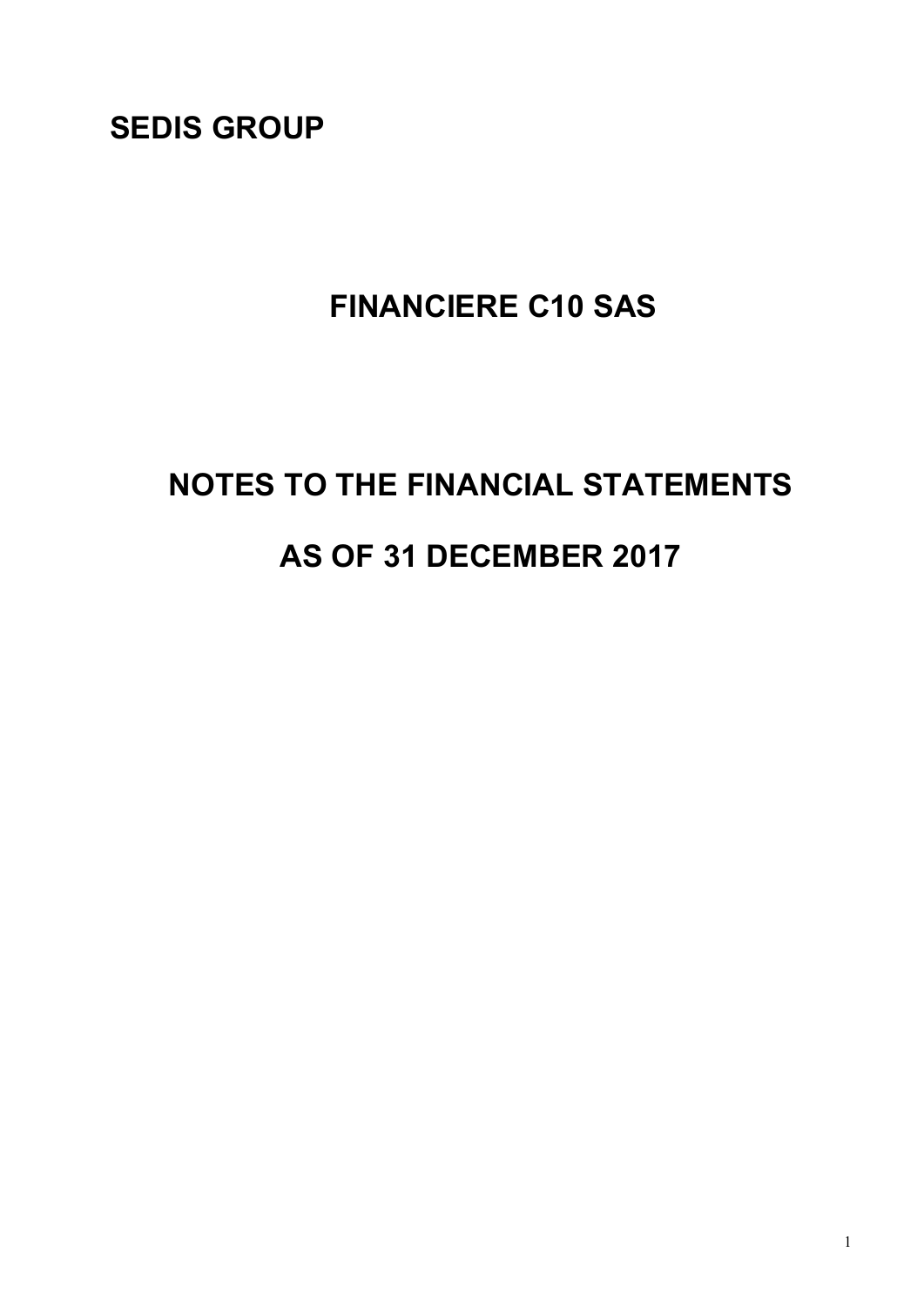**SEDIS GROUP** 

## **FINANCIERE C10 SAS**

# **NOTES TO THE FINANCIAL STATEMENTS AS OF 31 DECEMBER 2017**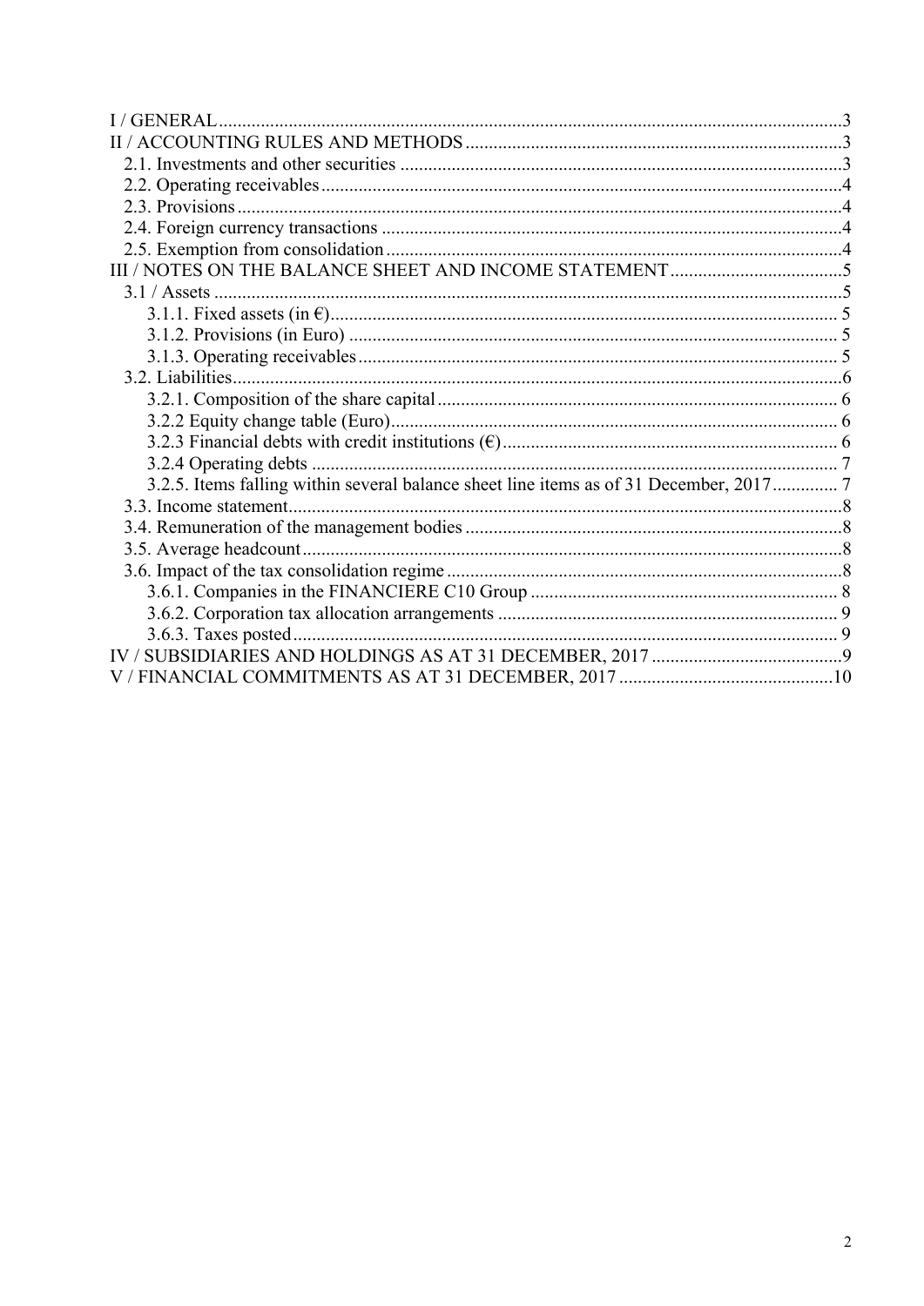| I/GENERAL.                                                                             |  |
|----------------------------------------------------------------------------------------|--|
|                                                                                        |  |
|                                                                                        |  |
|                                                                                        |  |
|                                                                                        |  |
|                                                                                        |  |
|                                                                                        |  |
|                                                                                        |  |
|                                                                                        |  |
|                                                                                        |  |
|                                                                                        |  |
|                                                                                        |  |
|                                                                                        |  |
|                                                                                        |  |
|                                                                                        |  |
|                                                                                        |  |
|                                                                                        |  |
| 3.2.5. Items falling within several balance sheet line items as of 31 December, 2017 7 |  |
|                                                                                        |  |
|                                                                                        |  |
|                                                                                        |  |
|                                                                                        |  |
|                                                                                        |  |
|                                                                                        |  |
|                                                                                        |  |
|                                                                                        |  |
|                                                                                        |  |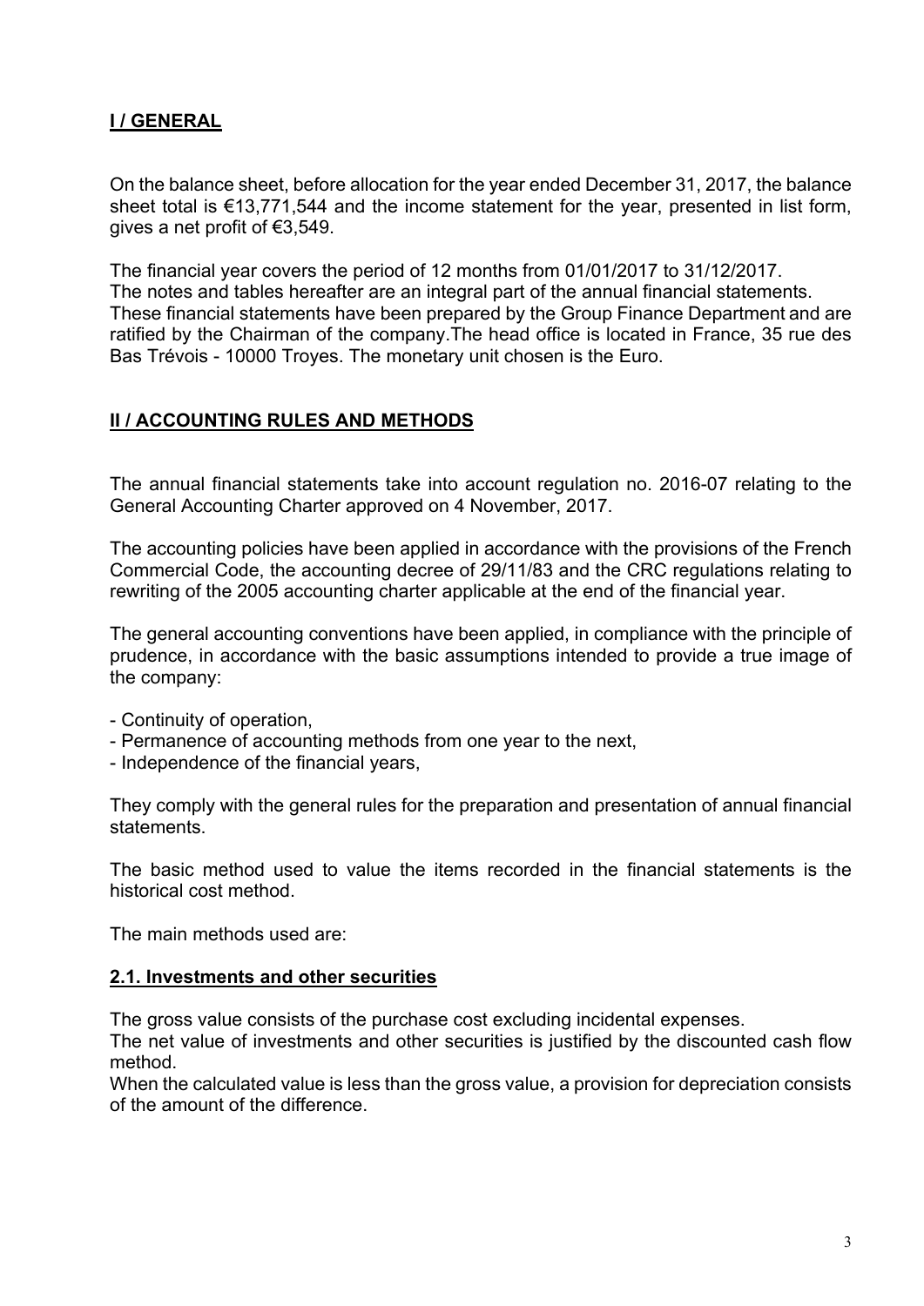## **I / GENERAL**

On the balance sheet, before allocation for the year ended December 31, 2017, the balance sheet total is €13,771,544 and the income statement for the year, presented in list form, gives a net profit of €3,549.

The financial year covers the period of 12 months from 01/01/2017 to 31/12/2017. The notes and tables hereafter are an integral part of the annual financial statements. These financial statements have been prepared by the Group Finance Department and are ratified by the Chairman of the company.The head office is located in France, 35 rue des Bas Trévois - 10000 Troyes. The monetary unit chosen is the Euro.

#### **II / ACCOUNTING RULES AND METHODS**

The annual financial statements take into account regulation no. 2016-07 relating to the General Accounting Charter approved on 4 November, 2017.

The accounting policies have been applied in accordance with the provisions of the French Commercial Code, the accounting decree of 29/11/83 and the CRC regulations relating to rewriting of the 2005 accounting charter applicable at the end of the financial year.

The general accounting conventions have been applied, in compliance with the principle of prudence, in accordance with the basic assumptions intended to provide a true image of the company:

- Continuity of operation,
- Permanence of accounting methods from one year to the next,
- Independence of the financial years,

They comply with the general rules for the preparation and presentation of annual financial statements.

The basic method used to value the items recorded in the financial statements is the historical cost method.

The main methods used are:

#### **2.1. Investments and other securities**

The gross value consists of the purchase cost excluding incidental expenses.

The net value of investments and other securities is justified by the discounted cash flow method.

When the calculated value is less than the gross value, a provision for depreciation consists of the amount of the difference.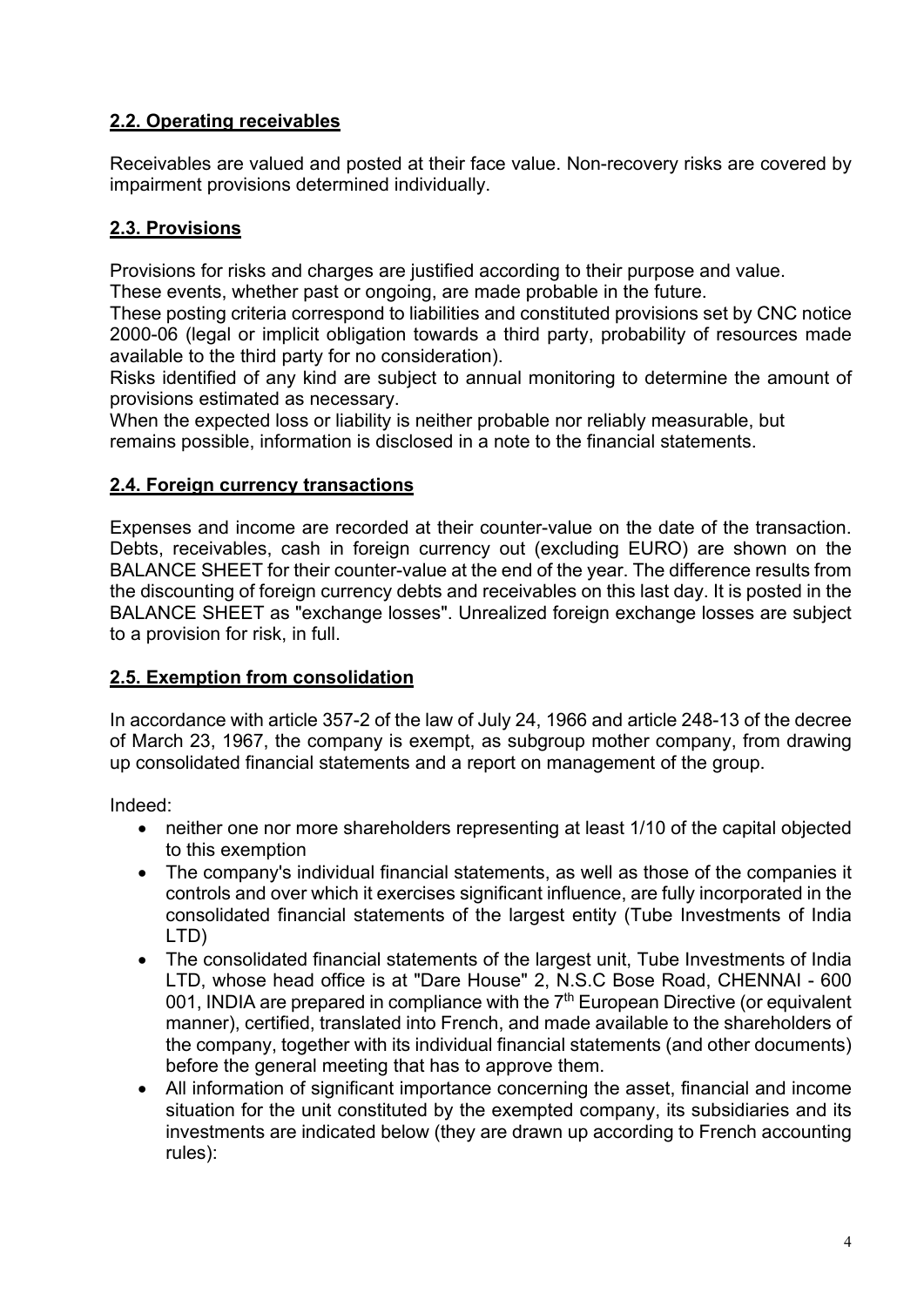## **2.2. Operating receivables**

Receivables are valued and posted at their face value. Non-recovery risks are covered by impairment provisions determined individually.

## **2.3. Provisions**

Provisions for risks and charges are justified according to their purpose and value.

These events, whether past or ongoing, are made probable in the future.

These posting criteria correspond to liabilities and constituted provisions set by CNC notice 2000-06 (legal or implicit obligation towards a third party, probability of resources made available to the third party for no consideration).

Risks identified of any kind are subject to annual monitoring to determine the amount of provisions estimated as necessary.

When the expected loss or liability is neither probable nor reliably measurable, but remains possible, information is disclosed in a note to the financial statements.

## **2.4. Foreign currency transactions**

Expenses and income are recorded at their counter-value on the date of the transaction. Debts, receivables, cash in foreign currency out (excluding EURO) are shown on the BALANCE SHEET for their counter-value at the end of the year. The difference results from the discounting of foreign currency debts and receivables on this last day. It is posted in the BALANCE SHEET as "exchange losses". Unrealized foreign exchange losses are subject to a provision for risk, in full.

#### **2.5. Exemption from consolidation**

In accordance with article 357-2 of the law of July 24, 1966 and article 248-13 of the decree of March 23, 1967, the company is exempt, as subgroup mother company, from drawing up consolidated financial statements and a report on management of the group.

Indeed:

- neither one nor more shareholders representing at least 1/10 of the capital objected to this exemption
- The company's individual financial statements, as well as those of the companies it controls and over which it exercises significant influence, are fully incorporated in the consolidated financial statements of the largest entity (Tube Investments of India LTD)
- The consolidated financial statements of the largest unit. Tube Investments of India LTD, whose head office is at "Dare House" 2, N.S.C Bose Road, CHENNAI - 600 001, INDIA are prepared in compliance with the  $7<sup>th</sup>$  European Directive (or equivalent manner), certified, translated into French, and made available to the shareholders of the company, together with its individual financial statements (and other documents) before the general meeting that has to approve them.
- All information of significant importance concerning the asset, financial and income situation for the unit constituted by the exempted company, its subsidiaries and its investments are indicated below (they are drawn up according to French accounting rules):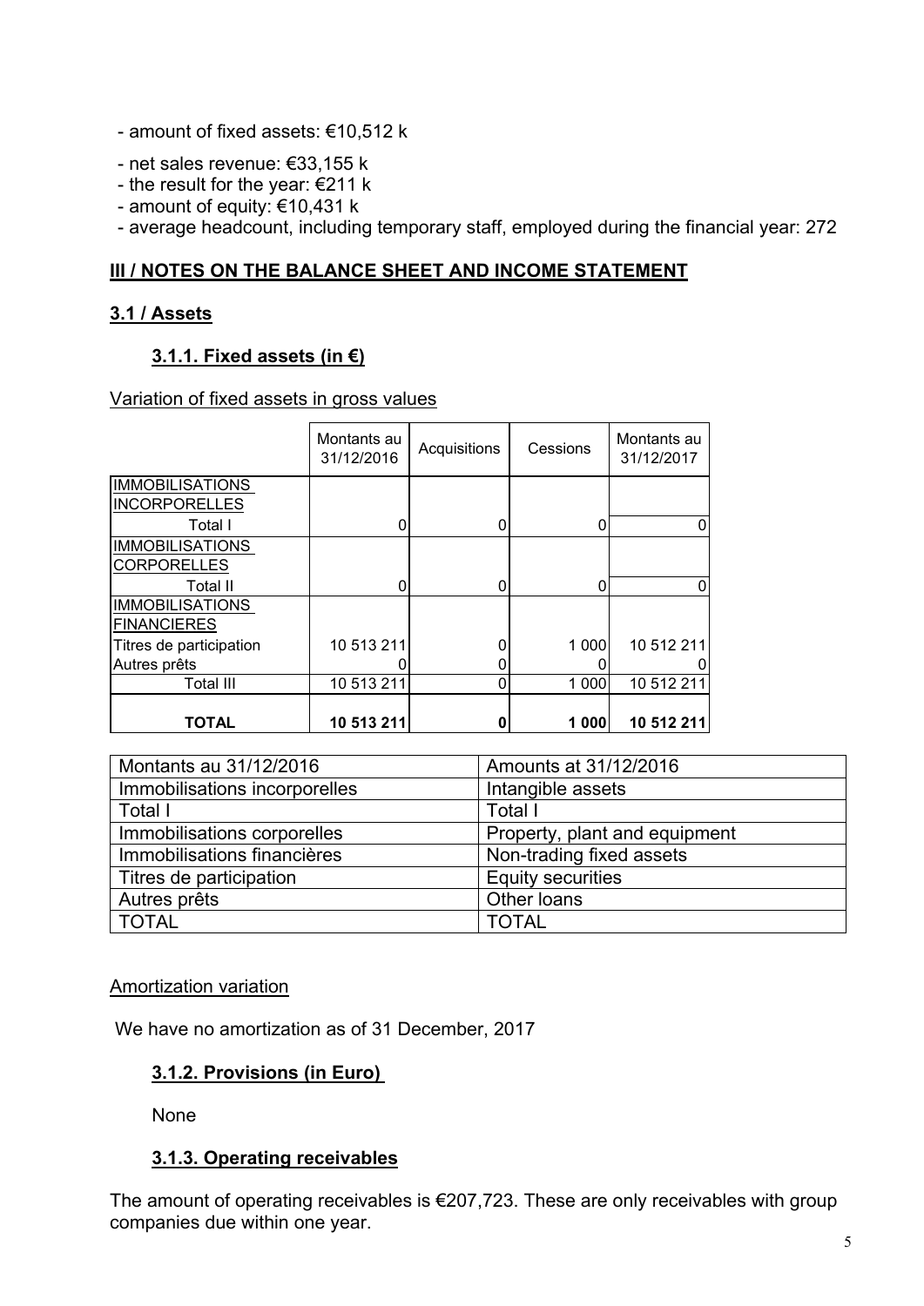- amount of fixed assets: €10,512 k
- net sales revenue: €33,155 k
- the result for the year: €211 k
- amount of equity: €10,431 k
- average headcount, including temporary staff, employed during the financial year: 272

#### **III / NOTES ON THE BALANCE SHEET AND INCOME STATEMENT**

#### **3.1 / Assets**

#### **3.1.1. Fixed assets (in €)**

#### Variation of fixed assets in gross values

|                                                           | Montants au<br>31/12/2016 | Acquisitions | Cessions | Montants au<br>31/12/2017 |
|-----------------------------------------------------------|---------------------------|--------------|----------|---------------------------|
| <b>IMMOBILISATIONS</b><br><b>INCORPORELLES</b><br>Total I | 0                         |              |          |                           |
| <b>IMMOBILISATIONS</b><br><b>CORPORELLES</b><br>Total II  | 0                         |              |          |                           |
| <b>IMMOBILISATIONS</b><br><b>FINANCIERES</b>              |                           |              |          |                           |
| Titres de participation<br>Autres prêts                   | 10 513 211                |              | 1 000    | 10 512 211                |
| Total III                                                 | 10 513 211                |              | 1 000    | 10 512 211                |
| TOTAL                                                     | 10 513 211                |              | 1 000    | 10 512 211                |

| Montants au 31/12/2016        | Amounts at 31/12/2016         |
|-------------------------------|-------------------------------|
| Immobilisations incorporelles | Intangible assets             |
| Total I                       | Total I                       |
| Immobilisations corporelles   | Property, plant and equipment |
| Immobilisations financières   | Non-trading fixed assets      |
| Titres de participation       | <b>Equity securities</b>      |
| Autres prêts                  | Other loans                   |
| <b>TOTAL</b>                  | <b>TOTAL</b>                  |

#### Amortization variation

We have no amortization as of 31 December, 2017

#### **3.1.2. Provisions (in Euro)**

None

#### **3.1.3. Operating receivables**

The amount of operating receivables is €207,723. These are only receivables with group companies due within one year.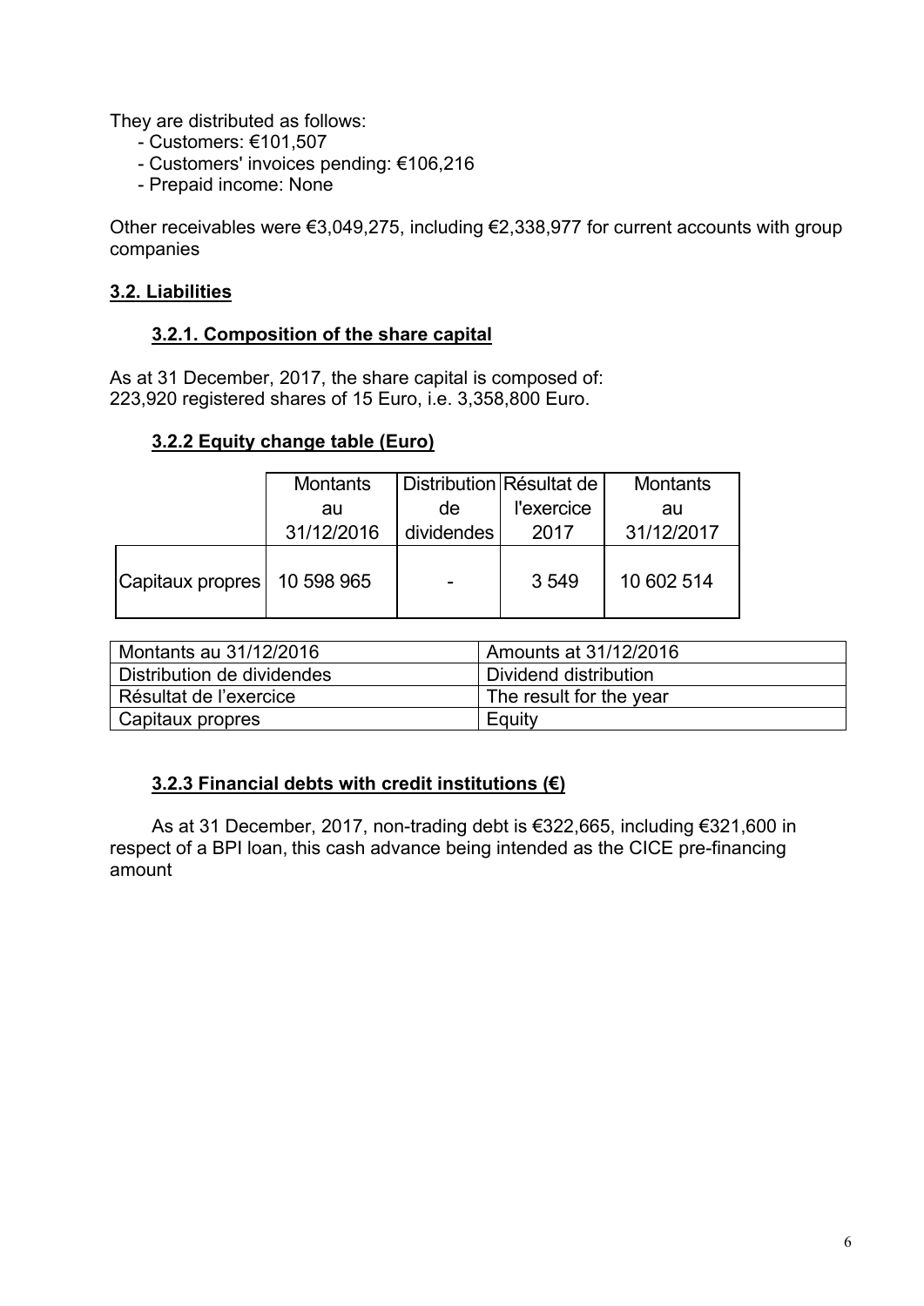They are distributed as follows:

- Customers: €101,507
- Customers' invoices pending: €106,216
- Prepaid income: None

Other receivables were €3,049,275, including €2,338,977 for current accounts with group companies

#### **3.2. Liabilities**

#### **3.2.1. Composition of the share capital**

As at 31 December, 2017, the share capital is composed of: 223,920 registered shares of 15 Euro, i.e. 3,358,800 Euro.

## **3.2.2 Equity change table (Euro)**

|                  | <b>Montants</b> | Distribution Résultat de |            | <b>Montants</b> |
|------------------|-----------------|--------------------------|------------|-----------------|
|                  | au              | de                       | l'exercice | au              |
|                  | 31/12/2016      | dividendes               | 2017       | 31/12/2017      |
| Capitaux propres | 10 598 965      |                          | 3549       | 10 602 514      |

| Montants au 31/12/2016     | Amounts at 31/12/2016   |
|----------------------------|-------------------------|
| Distribution de dividendes | Dividend distribution   |
| Résultat de l'exercice     | The result for the year |
| Capitaux propres           | Equity                  |

#### **3.2.3 Financial debts with credit institutions (€)**

As at 31 December, 2017, non-trading debt is €322,665, including €321,600 in respect of a BPI loan, this cash advance being intended as the CICE pre-financing amount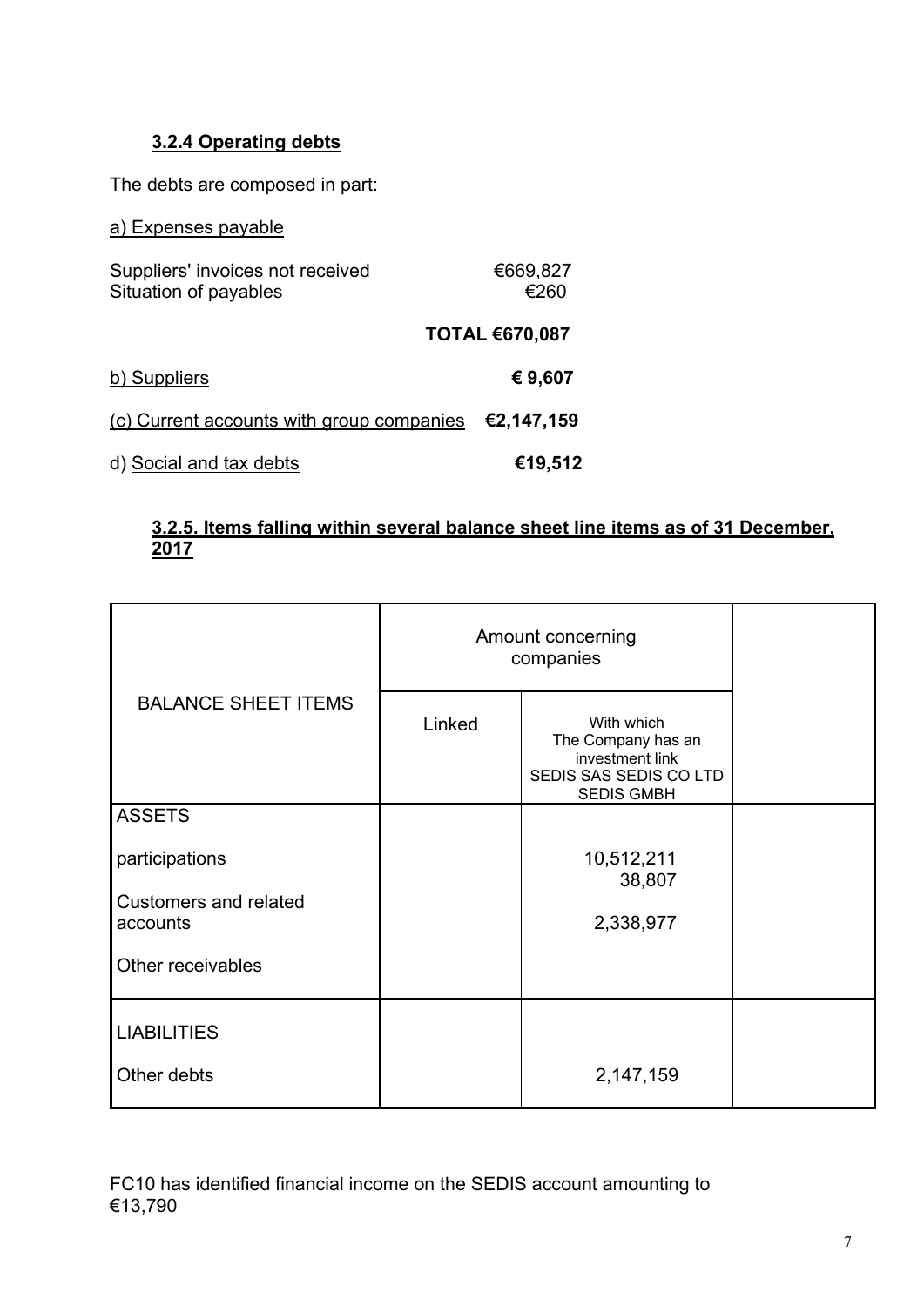## **3.2.4 Operating debts**

The debts are composed in part:

| a) Expenses payable                                       |                       |
|-----------------------------------------------------------|-----------------------|
| Suppliers' invoices not received<br>Situation of payables | €669,827<br>€260      |
|                                                           | <b>TOTAL €670,087</b> |
| b) Suppliers                                              | € 9,607               |
| (c) Current accounts with group companies                 | €2,147,159            |
| d) Social and tax debts                                   | €19,512               |

#### **3.2.5. Items falling within several balance sheet line items as of 31 December, 2017**

|                                          |        | Amount concerning<br>companies                                                                     |  |
|------------------------------------------|--------|----------------------------------------------------------------------------------------------------|--|
| <b>BALANCE SHEET ITEMS</b>               | Linked | With which<br>The Company has an<br>investment link<br>SEDIS SAS SEDIS CO LTD<br><b>SEDIS GMBH</b> |  |
| <b>ASSETS</b>                            |        |                                                                                                    |  |
| participations                           |        | 10,512,211<br>38,807                                                                               |  |
| <b>Customers and related</b><br>accounts |        | 2,338,977                                                                                          |  |
| Other receivables                        |        |                                                                                                    |  |
| <b>LIABILITIES</b>                       |        |                                                                                                    |  |
| Other debts                              |        | 2,147,159                                                                                          |  |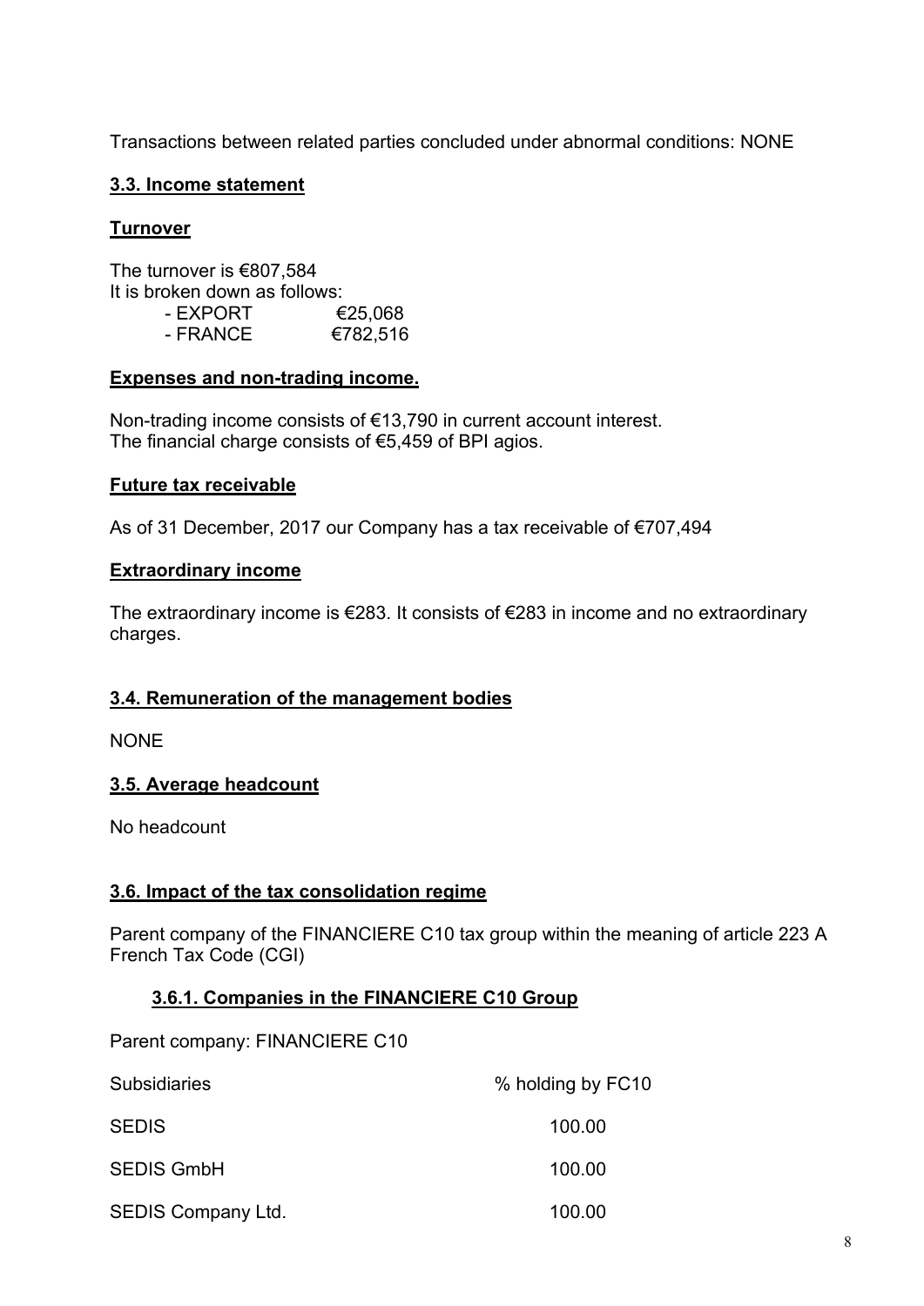Transactions between related parties concluded under abnormal conditions: NONE

## **3.3. Income statement**

#### **Turnover**

The turnover is €807,584 It is broken down as follows:  $-$  EXPORT  $\epsilon$ 25.068 - FRANCE €782,516

#### **Expenses and non-trading income.**

Non-trading income consists of €13,790 in current account interest. The financial charge consists of €5,459 of BPI agios.

#### **Future tax receivable**

As of 31 December, 2017 our Company has a tax receivable of €707,494

#### **Extraordinary income**

The extraordinary income is  $\epsilon$ 283. It consists of  $\epsilon$ 283 in income and no extraordinary charges.

#### **3.4. Remuneration of the management bodies**

NONE

#### **3.5. Average headcount**

No headcount

#### **3.6. Impact of the tax consolidation regime**

Parent company of the FINANCIERE C10 tax group within the meaning of article 223 A French Tax Code (CGI)

#### **3.6.1. Companies in the FINANCIERE C10 Group**

Parent company: FINANCIERE C10

| <b>Subsidiaries</b>       | % holding by FC10 |
|---------------------------|-------------------|
| <b>SEDIS</b>              | 100.00            |
| <b>SEDIS GmbH</b>         | 100.00            |
| <b>SEDIS Company Ltd.</b> | 100.00            |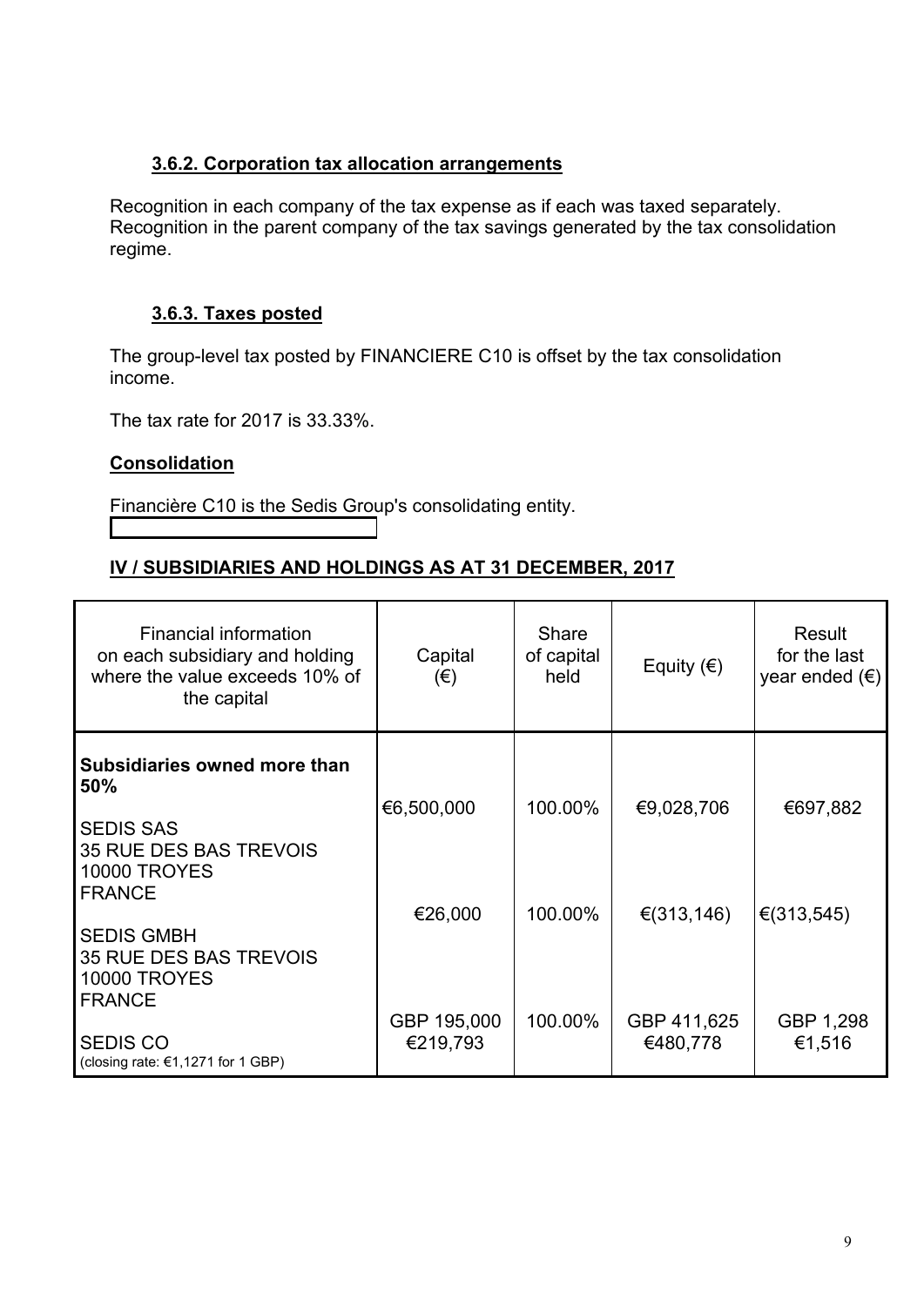#### **3.6.2. Corporation tax allocation arrangements**

Recognition in each company of the tax expense as if each was taxed separately. Recognition in the parent company of the tax savings generated by the tax consolidation regime.

## **3.6.3. Taxes posted**

The group-level tax posted by FINANCIERE C10 is offset by the tax consolidation income.

The tax rate for 2017 is 33.33%.

## **Consolidation**

Financière C10 is the Sedis Group's consolidating entity.

## **IV / SUBSIDIARIES AND HOLDINGS AS AT 31 DECEMBER, 2017**

| Financial information<br>on each subsidiary and holding<br>where the value exceeds 10% of<br>the capital | Capital<br>$(\epsilon)$ | <b>Share</b><br>of capital<br>held | Equity $(\epsilon)$     | Result<br>for the last<br>year ended $(\epsilon)$ |
|----------------------------------------------------------------------------------------------------------|-------------------------|------------------------------------|-------------------------|---------------------------------------------------|
| Subsidiaries owned more than<br>50%<br><b>SEDIS SAS</b>                                                  | €6,500,000              | 100.00%                            | €9,028,706              | €697,882                                          |
| <b>35 RUE DES BAS TREVOIS</b><br><b>10000 TROYES</b><br><b>FRANCE</b>                                    | €26,000                 | 100.00%                            | € $(313, 146)$          | € $(313,545)$                                     |
| <b>SEDIS GMBH</b><br><b>35 RUE DES BAS TREVOIS</b><br><b>10000 TROYES</b><br><b>FRANCE</b>               |                         |                                    |                         |                                                   |
| <b>SEDIS CO</b><br>(closing rate: €1,1271 for 1 GBP)                                                     | GBP 195,000<br>€219,793 | 100.00%                            | GBP 411,625<br>€480,778 | GBP 1,298<br>€1,516                               |